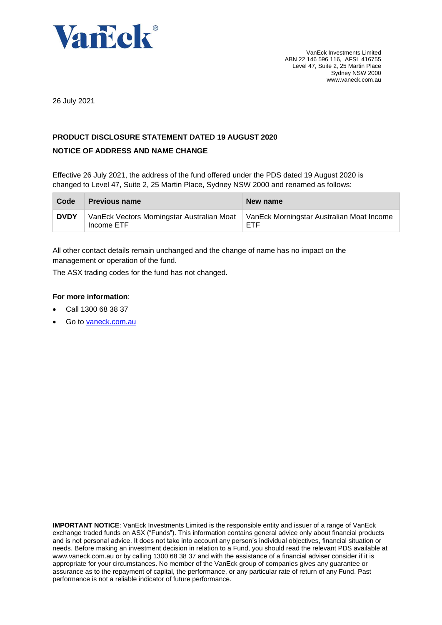

26 July 2021

## **PRODUCT DISCLOSURE STATEMENT DATED 19 AUGUST 2020**

## **NOTICE OF ADDRESS AND NAME CHANGE**

Effective 26 July 2021, the address of the fund offered under the PDS dated 19 August 2020 is changed to Level 47, Suite 2, 25 Martin Place, Sydney NSW 2000 and renamed as follows:

| Code        | <b>Previous name</b>                                                                                 | New name |
|-------------|------------------------------------------------------------------------------------------------------|----------|
| <b>DVDY</b> | VanEck Vectors Morningstar Australian Moat   VanEck Morningstar Australian Moat Income<br>Income ETF | ETF      |

All other contact details remain unchanged and the change of name has no impact on the management or operation of the fund.

The ASX trading codes for the fund has not changed.

## **For more information**:

- Call 1300 68 38 37
- Go to [vaneck.com.au](http://www.marketvectors-australia.com/)

**IMPORTANT NOTICE**: VanEck Investments Limited is the responsible entity and issuer of a range of VanEck exchange traded funds on ASX ("Funds"). This information contains general advice only about financial products and is not personal advice. It does not take into account any person's individual objectives, financial situation or needs. Before making an investment decision in relation to a Fund, you should read the relevant PDS available at [www.vaneck.com.au](http://www.vaneck.com.au/) or by calling 1300 68 38 37 and with the assistance of a financial adviser consider if it is appropriate for your circumstances. No member of the VanEck group of companies gives any guarantee or assurance as to the repayment of capital, the performance, or any particular rate of return of any Fund. Past performance is not a reliable indicator of future performance.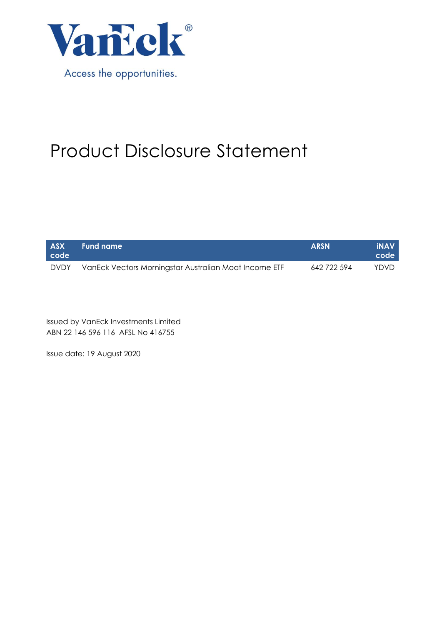

# Product Disclosure Statement

| <b>ASX</b><br>code | Fund name                                             | <b>ARSN</b> | <b>INAV</b><br>code ' |
|--------------------|-------------------------------------------------------|-------------|-----------------------|
| <b>DVDY</b>        | VanEck Vectors Morningstar Australian Moat Income ETF | 642 722 594 | YDVD                  |

Issued by VanEck Investments Limited ABN 22 146 596 116 AFSL No 416755

Issue date: 19 August 2020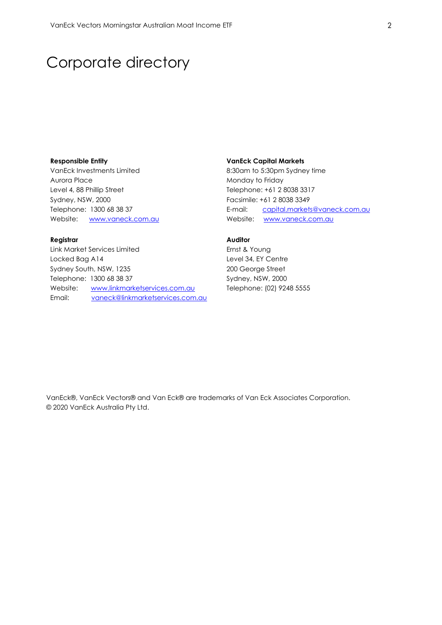## Corporate directory

#### **Responsible Entity**

VanEck Investments Limited Aurora Place Level 4, 88 Phillip Street Sydney, NSW, 2000 Telephone: 1300 68 38 37 Website: [www.vaneck.com.au](http://www.vaneck.com.au/)

## **Registrar**

Link Market Services Limited Locked Bag A14 Sydney South, NSW, 1235 Telephone: 1300 68 38 37 Website: [www.linkmarketservices.com.au](http://www.linkmarketservices.com.au/) Email: [vaneck@linkmarketservices.com.au](mailto:vaneck@linkmarketservices.com.au)

#### **VanEck Capital Markets**

8:30am to 5:30pm Sydney time Monday to Friday Telephone: +61 2 8038 3317 Facsimile: +61 2 8038 3349 E-mail: [capital.markets@vaneck.com.au](mailto:capital.markets@vaneck.com.au)  Website: [www.vaneck.com.au](http://www.vaneck.com.au/)

## **Auditor**

Ernst & Young Level 34, EY Centre 200 George Street Sydney, NSW, 2000 Telephone: (02) 9248 5555

VanEck®, VanEck Vectors® and Van Eck® are trademarks of Van Eck Associates Corporation. © 2020 VanEck Australia Pty Ltd.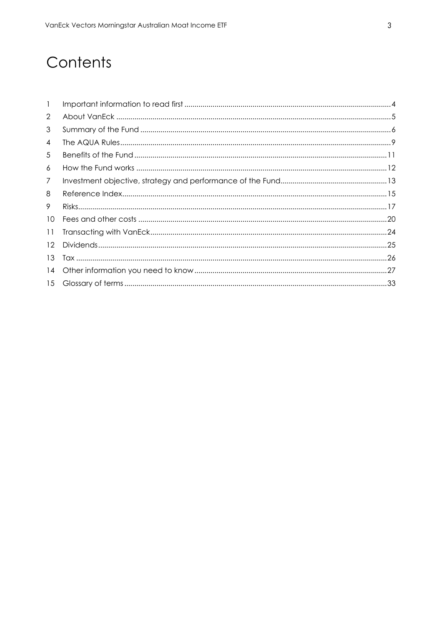# Contents

| $\mathbf{1}$      |  |
|-------------------|--|
| $\overline{2}$    |  |
| 3                 |  |
| 4                 |  |
| 5                 |  |
| 6                 |  |
| 7                 |  |
| 8                 |  |
| 9                 |  |
| 10 <sup>1</sup>   |  |
| 11                |  |
| $12 \overline{ }$ |  |
| 13                |  |
| 14                |  |
|                   |  |
|                   |  |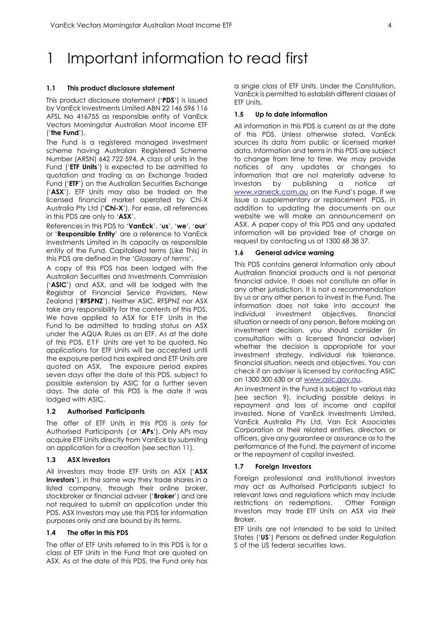# <span id="page-4-0"></span>1 Important information to read first

#### **1.1 This product disclosure statement**

This product disclosure statement ('**PDS**') is issued by VanEck Investments Limited ABN 22 146 596 116 AFSL No 416755 as responsible entity of VanEck Vectors Morningstar Australian Moat Income ETF ('**the Fund**').

The Fund is a registered managed investment scheme having Australian Registered Scheme Number (ARSN) 642 722 594. A class of units in the Fund ('**ETF Units**') is expected to be admitted to quotation and trading as an Exchange Traded Fund ('**ETF**') on the Australian Securities Exchange ('**ASX**'). ETF Units may also be traded on the licensed financial market operated by Chi-X Australia Pty Ltd ('**Chi-X**'). For ease, all references in this PDS are only to '**ASX**'.

References in this PDS to '**VanEck**', '**us**', '**we**', '**our**' or '**Responsible Entity**' are a reference to VanEck Investments Limited in its capacity as responsible entity of the Fund. Capitalised terms (Like This) in this PDS are defined in the '*Glossary of terms*'.

A copy of this PDS has been lodged with the Australian Securities and Investments Commission ('**ASIC**') and ASX, and will be lodged with the Registrar of Financial Service Providers, New Zealand ('**RFSPNZ**'). Neither ASIC, RFSPNZ nor ASX take any responsibility for the contents of this PDS. We have applied to ASX for ETF Units in the Fund to be admitted to trading status on ASX under the AQUA Rules as an ETF. As at the date of this PDS, ETF Units are yet to be quoted. No applications for ETF Units will be accepted until the exposure period has expired and ETF Units are quoted on ASX. The exposure period expires seven days after the date of this PDS, subject to possible extension by ASIC for a further seven days. The date of this PDS is the date it was lodged with ASIC.

#### **1.2 Authorised Participants**

The offer of ETF Units in this PDS is only for Authorised Participants ( or '**APs**'). Only APs may acquire ETF Units directly from VanEck by submitng an application for a creation (see section 11).

#### **1.3 ASX Investors**

All investors may trade ETF Units on ASX ('**ASX Investors**'), in the same way they trade shares in a listed company, through their online broker, stockbroker or financial adviser ('**Broker**') and are not required to submit an application under this PDS. ASX Investors may use this PDS for information purposes only and are bound by its terms.

#### **1.4 The offer in this PDS**

The offer of ETF Units referred to in this PDS is for a class of ETF Units in the Fund that are quoted on ASX. As at the date of this PDS, the Fund only has

a single class of ETF Units. Under the Constitution, VanEck is permitted to establish different classes of ETF Units.

#### **1.5 Up to date information**

All information in this PDS is current as at the date of this PDS. Unless otherwise stated, VanEck sources its data from public or licensed market data. Information and terms in this PDS are subject to change from time to time. We may provide notices of any updates or changes to information that are not materially adverse to investors by publishing a notice at [www.vaneck.com.au](http://www.vaneck.com.au/) on the Fund's page. If we issue a supplementary or replacement PDS, in addition to updating the documents on our website we will make an announcement on ASX. A paper copy of this PDS and any updated information will be provided free of charge on request by contacting us at 1300 68 38 37.

#### **1.6 General advice warning**

This PDS contains general information only about Australian financial products and is not personal financial advice. It does not constiute an offer in any other jurisdiction. It is not a recommendation by us or any other person to invest in the Fund. The information does not take into account the individual investment objectives, financial situation or needs of any person. Before making an investment decision, you should consider (in consultation with a licensed financial adviser) whether the decision is appropriate for your investment strategy, individual risk tolerance, financial situation, needs and objectives. You can check if an adviser is licensed by contacting ASIC on 1300 300 630 or a[t www.asic.gov.au.](http://www.asic.gov.au/)

An investment in the Fund is subject to various risks (see section 9), including possible delays in repayment and loss of income and capital invested. None of VanEck Investments Limited, VanEck Australia Pty Ltd, Van Eck Associates Corporation or their related entities, directors or officers, give any guarantee or assurance as to the performance of the Fund, the payment of income or the repayment of capital invested.

#### **1.7 Foreign Investors**

Foreign professional and institutional investors may act as Authorised Participants subject to relevant laws and regulations which may include restrictions on redemptions. Other Foreign Investors may trade ETF Units on ASX via their Broker.

ETF Units are not intended to be sold to United States ('**US**') Persons as defined under Regulation S of the US federal securities laws.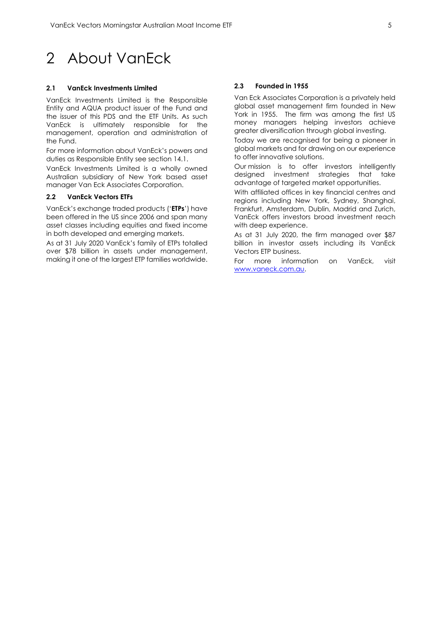#### <span id="page-5-0"></span>**2.1 VanEck Investments Limited**

VanEck Investments Limited is the Responsible Entity and AQUA product issuer of the Fund and the issuer of this PDS and the ETF Units. As such VanEck is ultimately responsible for the management, operation and administration of the Fund.

For more information about VanEck's powers and duties as Responsible Entity see section 14.1.

VanEck Investments Limited is a wholly owned Australian subsidiary of New York based asset manager Van Eck Associates Corporation.

#### **2.2 VanEck Vectors ETFs**

VanEck's exchange traded products ('**ETPs**') have been offered in the US since 2006 and span many asset classes including equities and fixed income in both developed and emerging markets.

As at 31 July 2020 VanEck's family of ETPs totalled over \$78 billion in assets under management, making it one of the largest ETP families worldwide.

#### **2.3 Founded in 1955**

Van Eck Associates Corporation is a privately held global asset management firm founded in New York in 1955. The firm was among the first US money managers helping investors achieve greater diversification through global investing.

Today we are recognised for being a pioneer in global markets and for drawing on our experience to offer innovative solutions.

Our mission is to offer investors intelligently designed investment strategies that take advantage of targeted market opportunities.

With affiliated offices in key financial centres and regions including New York, Sydney, Shanghai, Frankfurt, Amsterdam, Dublin, Madrid and Zurich, VanEck offers investors broad investment reach with deep experience.

As at 31 July 2020, the firm managed over \$87 billion in investor assets including its VanEck Vectors ETP business.

For more information on VanEck, visit [www.vaneck.com.au.](http://www.vaneck.com.au/)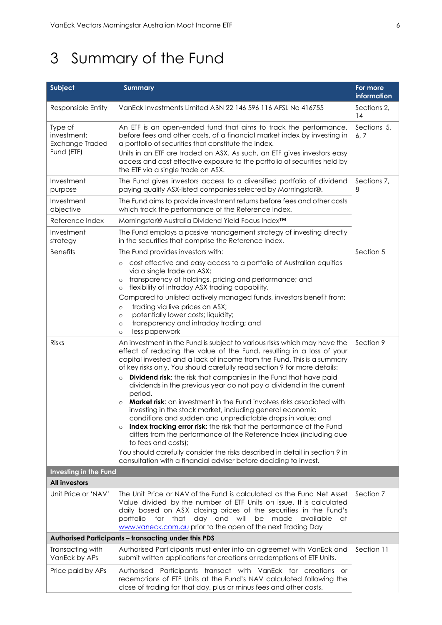# <span id="page-6-0"></span>3 Summary of the Fund

| <b>Subject</b>                                          | <b>Summary</b>                                                                                                                                                                                                                                                                                                                                                                                                                                                                                                                                                                                                                                                                                                                                                                                                                                                                                                                                                                                                               | For more<br>information |
|---------------------------------------------------------|------------------------------------------------------------------------------------------------------------------------------------------------------------------------------------------------------------------------------------------------------------------------------------------------------------------------------------------------------------------------------------------------------------------------------------------------------------------------------------------------------------------------------------------------------------------------------------------------------------------------------------------------------------------------------------------------------------------------------------------------------------------------------------------------------------------------------------------------------------------------------------------------------------------------------------------------------------------------------------------------------------------------------|-------------------------|
| Responsible Entity                                      | VanEck Investments Limited ABN 22 146 596 116 AFSL No 416755                                                                                                                                                                                                                                                                                                                                                                                                                                                                                                                                                                                                                                                                                                                                                                                                                                                                                                                                                                 | Sections 2,<br>14       |
| Type of<br>investment:<br>Exchange Traded<br>Fund (ETF) | An ETF is an open-ended fund that aims to track the performance,<br>before fees and other costs, of a financial market index by investing in<br>a portfolio of securities that constitute the index.<br>Units in an ETF are traded on ASX. As such, an ETF gives investors easy<br>access and cost effective exposure to the portfolio of securities held by<br>the ETF via a single trade on ASX.                                                                                                                                                                                                                                                                                                                                                                                                                                                                                                                                                                                                                           | Sections 5,<br>6. 7     |
| Investment<br>purpose                                   | The Fund gives investors access to a diversified portfolio of dividend<br>paying quality ASX-listed companies selected by Morningstar®.                                                                                                                                                                                                                                                                                                                                                                                                                                                                                                                                                                                                                                                                                                                                                                                                                                                                                      | Sections 7,<br>8        |
| Investment<br>objective                                 | The Fund aims to provide investment returns before fees and other costs<br>which track the performance of the Reference Index.                                                                                                                                                                                                                                                                                                                                                                                                                                                                                                                                                                                                                                                                                                                                                                                                                                                                                               |                         |
| Reference Index                                         | Morningstar® Australia Dividend Yield Focus Index™                                                                                                                                                                                                                                                                                                                                                                                                                                                                                                                                                                                                                                                                                                                                                                                                                                                                                                                                                                           |                         |
| Investment<br>strategy                                  | The Fund employs a passive management strategy of investing directly<br>in the securities that comprise the Reference Index.                                                                                                                                                                                                                                                                                                                                                                                                                                                                                                                                                                                                                                                                                                                                                                                                                                                                                                 |                         |
| <b>Benefits</b>                                         | The Fund provides investors with:<br>cost effective and easy access to a portfolio of Australian equities<br>$\circ$<br>via a single trade on ASX;<br>transparency of holdings, pricing and performance; and<br>$\circ$<br>flexibility of intraday ASX trading capability.<br>$\circ$<br>Compared to unlisted actively managed funds, investors benefit from:<br>trading via live prices on ASX;<br>$\circ$<br>potentially lower costs; liquidity;<br>$\circ$<br>transparency and intraday trading; and<br>$\circ$<br>less paperwork<br>$\circ$                                                                                                                                                                                                                                                                                                                                                                                                                                                                              | Section 5               |
| <b>Risks</b>                                            | An investment in the Fund is subject to various risks which may have the<br>effect of reducing the value of the Fund, resulting in a loss of your<br>capital invested and a lack of income from the Fund. This is a summary<br>of key risks only. You should carefully read section 9 for more details:<br>Dividend risk: the risk that companies in the Fund that have paid<br>$\circ$<br>dividends in the previous year do not pay a dividend in the current<br>period.<br>Market risk: an investment in the Fund involves risks associated with<br>$\circ$<br>investing in the stock market, including general economic<br>conditions and sudden and unpredictable drops in value; and<br>Index tracking error risk: the risk that the performance of the Fund<br>$\circ$<br>differs from the performance of the Reference Index (including due<br>to fees and costs);<br>You should carefully consider the risks described in detail in section 9 in<br>consultation with a financial adviser before deciding to invest. | Section 9               |
| <b>Investing in the Fund</b>                            |                                                                                                                                                                                                                                                                                                                                                                                                                                                                                                                                                                                                                                                                                                                                                                                                                                                                                                                                                                                                                              |                         |
| <b>All investors</b>                                    |                                                                                                                                                                                                                                                                                                                                                                                                                                                                                                                                                                                                                                                                                                                                                                                                                                                                                                                                                                                                                              |                         |
| Unit Price or 'NAV'                                     | The Unit Price or NAV of the Fund is calculated as the Fund Net Asset<br>Value divided by the number of ETF Units on issue. It is calculated<br>daily based on ASX closing prices of the securities in the Fund's<br>portfolio<br>for that<br>day and will be<br>made<br>available<br>at<br>www.vaneck.com.au prior to the open of the next Trading Day                                                                                                                                                                                                                                                                                                                                                                                                                                                                                                                                                                                                                                                                      | Section 7               |
|                                                         | <b>Authorised Participants - transacting under this PDS</b>                                                                                                                                                                                                                                                                                                                                                                                                                                                                                                                                                                                                                                                                                                                                                                                                                                                                                                                                                                  |                         |
| Transacting with<br>VanEck by APs                       | Authorised Participants must enter into an agreemet with VanEck and<br>submit written applications for creations or redemptions of ETF Units.                                                                                                                                                                                                                                                                                                                                                                                                                                                                                                                                                                                                                                                                                                                                                                                                                                                                                | Section 11              |
| Price paid by APs                                       | Authorised Participants transact with VanEck for creations<br>or<br>redemptions of ETF Units at the Fund's NAV calculated following the<br>close of trading for that day, plus or minus fees and other costs.                                                                                                                                                                                                                                                                                                                                                                                                                                                                                                                                                                                                                                                                                                                                                                                                                |                         |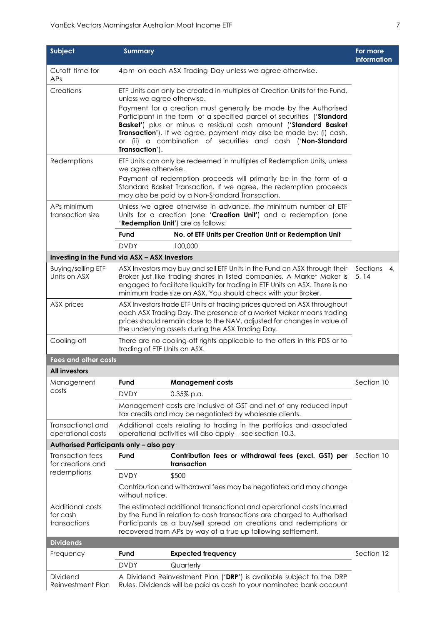| Subject                                             | <b>Summary</b>                                                                                                                                                                                                                                                                                                                                                      |                                                                                                                                                                                                                                                                                                      | For more<br>information |
|-----------------------------------------------------|---------------------------------------------------------------------------------------------------------------------------------------------------------------------------------------------------------------------------------------------------------------------------------------------------------------------------------------------------------------------|------------------------------------------------------------------------------------------------------------------------------------------------------------------------------------------------------------------------------------------------------------------------------------------------------|-------------------------|
| Cutoff time for<br>APs                              |                                                                                                                                                                                                                                                                                                                                                                     | 4pm on each ASX Trading Day unless we agree otherwise.                                                                                                                                                                                                                                               |                         |
| Creations                                           | unless we agree otherwise.                                                                                                                                                                                                                                                                                                                                          | ETF Units can only be created in multiples of Creation Units for the Fund,                                                                                                                                                                                                                           |                         |
|                                                     | Payment for a creation must generally be made by the Authorised<br>Participant in the form of a specified parcel of securities ('Standard<br>Basket') plus or minus a residual cash amount ('Standard Basket<br>Transaction'). If we agree, payment may also be made by: (i) cash,<br>or (ii) a combination of securities and cash ('Non-Standard<br>Transaction'). |                                                                                                                                                                                                                                                                                                      |                         |
| Redemptions                                         | ETF Units can only be redeemed in multiples of Redemption Units, unless<br>we agree otherwise.                                                                                                                                                                                                                                                                      |                                                                                                                                                                                                                                                                                                      |                         |
|                                                     |                                                                                                                                                                                                                                                                                                                                                                     | Payment of redemption proceeds will primarily be in the form of a<br>Standard Basket Transaction. If we agree, the redemption proceeds<br>may also be paid by a Non-Standard Transaction.                                                                                                            |                         |
| APs minimum<br>transaction size                     |                                                                                                                                                                                                                                                                                                                                                                     | Unless we agree otherwise in advance, the minimum number of ETF<br>Units for a creation (one 'Creation Unit') and a redemption (one<br>'Redemption Unit') are as follows:                                                                                                                            |                         |
|                                                     | Fund                                                                                                                                                                                                                                                                                                                                                                | No. of ETF Units per Creation Unit or Redemption Unit                                                                                                                                                                                                                                                |                         |
|                                                     | <b>DVDY</b>                                                                                                                                                                                                                                                                                                                                                         | 100,000                                                                                                                                                                                                                                                                                              |                         |
| Investing in the Fund via ASX - ASX Investors       |                                                                                                                                                                                                                                                                                                                                                                     |                                                                                                                                                                                                                                                                                                      |                         |
| <b>Buying/selling ETF</b><br>Units on ASX           |                                                                                                                                                                                                                                                                                                                                                                     | ASX Investors may buy and sell ETF Units in the Fund on ASX through their<br>Broker just like trading shares in listed companies. A Market Maker is<br>engaged to facilitate liquidity for trading in ETF Units on ASX. There is no<br>minimum trade size on ASX. You should check with your Broker. | Sections<br>4,<br>5, 14 |
| ASX prices                                          | ASX Investors trade ETF Units at trading prices quoted on ASX throughout<br>each ASX Trading Day. The presence of a Market Maker means trading<br>prices should remain close to the NAV, adjusted for changes in value of<br>the underlying assets during the ASX Trading Day.                                                                                      |                                                                                                                                                                                                                                                                                                      |                         |
| Cooling-off                                         | trading of ETF Units on ASX.                                                                                                                                                                                                                                                                                                                                        | There are no cooling-off rights applicable to the offers in this PDS or to                                                                                                                                                                                                                           |                         |
| <b>Fees and other costs</b>                         |                                                                                                                                                                                                                                                                                                                                                                     |                                                                                                                                                                                                                                                                                                      |                         |
| <b>All investors</b>                                |                                                                                                                                                                                                                                                                                                                                                                     |                                                                                                                                                                                                                                                                                                      |                         |
| Management                                          | Fund                                                                                                                                                                                                                                                                                                                                                                | <b>Management costs</b>                                                                                                                                                                                                                                                                              | Section 10              |
| costs                                               | <b>DVDY</b>                                                                                                                                                                                                                                                                                                                                                         | 0.35% p.a.                                                                                                                                                                                                                                                                                           |                         |
|                                                     |                                                                                                                                                                                                                                                                                                                                                                     | Management costs are inclusive of GST and net of any reduced input<br>tax credits and may be negotiated by wholesale clients.                                                                                                                                                                        |                         |
| Transactional and<br>operational costs              |                                                                                                                                                                                                                                                                                                                                                                     | Additional costs relating to trading in the portfolios and associated<br>operational activities will also apply – see section 10.3.                                                                                                                                                                  |                         |
| Authorised Participants only - also pay             |                                                                                                                                                                                                                                                                                                                                                                     |                                                                                                                                                                                                                                                                                                      |                         |
| <b>Transaction fees</b><br>for creations and        | Fund                                                                                                                                                                                                                                                                                                                                                                | Contribution fees or withdrawal fees (excl. GST) per<br>transaction                                                                                                                                                                                                                                  | Section 10              |
| redemptions                                         | <b>DVDY</b><br>\$500                                                                                                                                                                                                                                                                                                                                                |                                                                                                                                                                                                                                                                                                      |                         |
|                                                     | Contribution and withdrawal fees may be negotiated and may change<br>without notice.                                                                                                                                                                                                                                                                                |                                                                                                                                                                                                                                                                                                      |                         |
| <b>Additional costs</b><br>for cash<br>transactions | The estimated additional transactional and operational costs incurred<br>by the Fund in relation to cash transactions are charged to Authorised<br>Participants as a buy/sell spread on creations and redemptions or<br>recovered from APs by way of a true up following settlement.                                                                                |                                                                                                                                                                                                                                                                                                      |                         |
| <b>Dividends</b>                                    |                                                                                                                                                                                                                                                                                                                                                                     |                                                                                                                                                                                                                                                                                                      |                         |
| Frequency                                           | Fund                                                                                                                                                                                                                                                                                                                                                                | <b>Expected frequency</b><br>Quarterly                                                                                                                                                                                                                                                               | Section 12              |
|                                                     | <b>DVDY</b>                                                                                                                                                                                                                                                                                                                                                         |                                                                                                                                                                                                                                                                                                      |                         |
| Dividend<br>Reinvestment Plan                       | A Dividend Reinvestment Plan ('DRP') is available subject to the DRP<br>Rules. Dividends will be paid as cash to your nominated bank account                                                                                                                                                                                                                        |                                                                                                                                                                                                                                                                                                      |                         |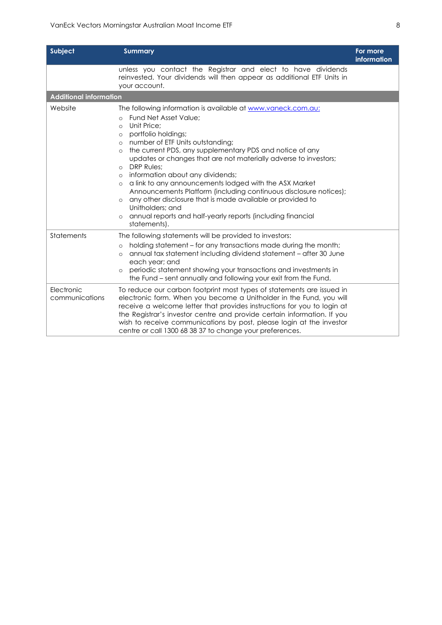| Subject                       | <b>Summary</b>                                                                                                                                                                                                                                                                                                                                                                                                                                                                                                                                                                                                                                                                                                                                         | For more<br><b>information</b> |
|-------------------------------|--------------------------------------------------------------------------------------------------------------------------------------------------------------------------------------------------------------------------------------------------------------------------------------------------------------------------------------------------------------------------------------------------------------------------------------------------------------------------------------------------------------------------------------------------------------------------------------------------------------------------------------------------------------------------------------------------------------------------------------------------------|--------------------------------|
|                               | unless you contact the Registrar and elect to have dividends<br>reinvested. Your dividends will then appear as additional ETF Units in<br>your account.                                                                                                                                                                                                                                                                                                                                                                                                                                                                                                                                                                                                |                                |
| <b>Additional information</b> |                                                                                                                                                                                                                                                                                                                                                                                                                                                                                                                                                                                                                                                                                                                                                        |                                |
| Website                       | The following information is available at www.vaneck.com.au:<br>Fund Net Asset Value:<br>$\Omega$<br>Unit Price:<br>$\Omega$<br>portfolio holdings;<br>$\circ$<br>number of ETF Units outstanding;<br>$\circ$<br>the current PDS, any supplementary PDS and notice of any<br>$\circ$<br>updates or changes that are not materially adverse to investors;<br>DRP Rules;<br>$\circ$<br>information about any dividends;<br>$\circ$<br>a link to any announcements lodged with the ASX Market<br>$\circ$<br>Announcements Platform (including continuous disclosure notices);<br>any other disclosure that is made available or provided to<br>$\circ$<br>Unitholders: and<br>annual reports and half-yearly reports (including financial<br>statements). |                                |
| Statements                    | The following statements will be provided to investors:<br>holding statement – for any transactions made during the month;<br>$\circ$<br>annual tax statement including dividend statement - after 30 June<br>$\circ$<br>each year; and<br>periodic statement showing your transactions and investments in<br>$\circ$<br>the Fund – sent annually and following your exit from the Fund.                                                                                                                                                                                                                                                                                                                                                               |                                |
| Electronic<br>communications  | To reduce our carbon footprint most types of statements are issued in<br>electronic form. When you become a Unitholder in the Fund, you will<br>receive a welcome letter that provides instructions for you to login at<br>the Registrar's investor centre and provide certain information. If you<br>wish to receive communications by post, please login at the investor<br>centre or call 1300 68 38 37 to change your preferences.                                                                                                                                                                                                                                                                                                                 |                                |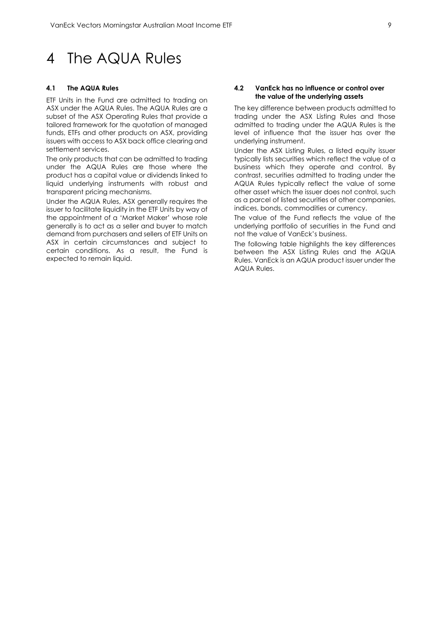## <span id="page-9-0"></span>4 The AQUA Rules

#### **4.1 The AQUA Rules**

ETF Units in the Fund are admitted to trading on ASX under the AQUA Rules. The AQUA Rules are a subset of the ASX Operating Rules that provide a tailored framework for the quotation of managed funds, ETFs and other products on ASX, providing issuers with access to ASX back office clearing and settlement services.

The only products that can be admitted to trading under the AQUA Rules are those where the product has a capital value or dividends linked to liquid underlying instruments with robust and transparent pricing mechanisms.

Under the AQUA Rules, ASX generally requires the issuer to facilitate liquidity in the ETF Units by way of the appointment of a 'Market Maker' whose role generally is to act as a seller and buyer to match demand from purchasers and sellers of ETF Units on ASX in certain circumstances and subject to certain conditions. As a result, the Fund is expected to remain liquid.

#### **4.2 VanEck has no influence or control over the value of the underlying assets**

The key difference between products admitted to trading under the ASX Listing Rules and those admitted to trading under the AQUA Rules is the level of influence that the issuer has over the underlying instrument.

Under the ASX Listing Rules, a listed equity issuer typically lists securities which reflect the value of a business which they operate and control. By contrast, securities admitted to trading under the AQUA Rules typically reflect the value of some other asset which the issuer does not control, such as a parcel of listed securities of other companies, indices, bonds, commodities or currency.

The value of the Fund reflects the value of the underlying portfolio of securities in the Fund and not the value of VanEck's business.

The following table highlights the key differences between the ASX Listing Rules and the AQUA Rules. VanEck is an AQUA product issuer under the AQUA Rules.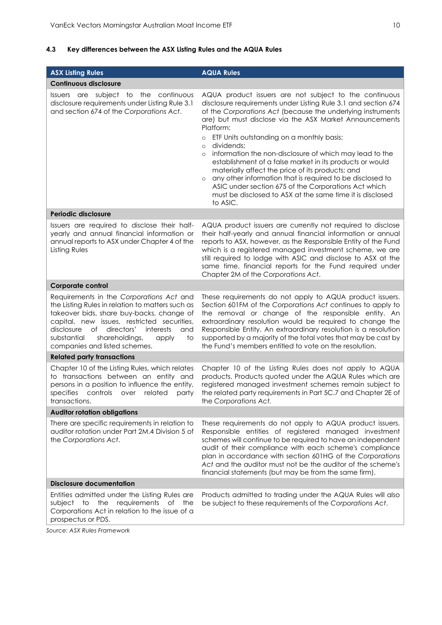## **4.3 Key differences between the ASX Listing Rules and the AQUA Rules**

| <b>ASX Listing Rules</b>                                                                                                                                                                                                                                                                                                        | <b>AQUA Rules</b>                                                                                                                                                                                                                                                                                                                                                                                                                                                                                                                                                                                                                                                                                                                               |
|---------------------------------------------------------------------------------------------------------------------------------------------------------------------------------------------------------------------------------------------------------------------------------------------------------------------------------|-------------------------------------------------------------------------------------------------------------------------------------------------------------------------------------------------------------------------------------------------------------------------------------------------------------------------------------------------------------------------------------------------------------------------------------------------------------------------------------------------------------------------------------------------------------------------------------------------------------------------------------------------------------------------------------------------------------------------------------------------|
| <b>Continuous disclosure</b>                                                                                                                                                                                                                                                                                                    |                                                                                                                                                                                                                                                                                                                                                                                                                                                                                                                                                                                                                                                                                                                                                 |
| Issuers are subject to the continuous<br>disclosure requirements under Listing Rule 3.1<br>and section 674 of the Corporations Act.                                                                                                                                                                                             | AQUA product issuers are not subject to the continuous<br>disclosure requirements under Listing Rule 3.1 and section 674<br>of the Corporations Act (because the underlying instruments<br>are) but must disclose via the ASX Market Announcements<br>Platform:<br>ETF Units outstanding on a monthly basis;<br>$\circ$<br>dividends;<br>$\circ$<br>information the non-disclosure of which may lead to the<br>$\circ$<br>establishment of a false market in its products or would<br>materially affect the price of its products; and<br>any other information that is required to be disclosed to<br>$\circ$<br>ASIC under section 675 of the Corporations Act which<br>must be disclosed to ASX at the same time it is disclosed<br>to ASIC. |
| Periodic disclosure                                                                                                                                                                                                                                                                                                             |                                                                                                                                                                                                                                                                                                                                                                                                                                                                                                                                                                                                                                                                                                                                                 |
| Issuers are required to disclose their half-<br>yearly and annual financial information or<br>annual reports to ASX under Chapter 4 of the<br>Listing Rules                                                                                                                                                                     | AQUA product issuers are currently not required to disclose<br>their half-yearly and annual financial information or annual<br>reports to ASX, however, as the Responsible Entity of the Fund<br>which is a registered managed investment scheme, we are<br>still required to lodge with ASIC and disclose to ASX at the<br>same time, financial reports for the Fund required under<br>Chapter 2M of the Corporations Act.                                                                                                                                                                                                                                                                                                                     |
| Corporate control                                                                                                                                                                                                                                                                                                               |                                                                                                                                                                                                                                                                                                                                                                                                                                                                                                                                                                                                                                                                                                                                                 |
| Requirements in the Corporations Act and<br>the Listing Rules in relation to matters such as<br>takeover bids, share buy-backs, change of<br>capital, new issues, restricted securities,<br>directors'<br>disclosure<br>of<br>interests<br>and<br>substantial<br>shareholdings,<br>to<br>apply<br>companies and listed schemes. | These requirements do not apply to AQUA product issuers.<br>Section 601FM of the Corporations Act continues to apply to<br>the removal or change of the responsible entity. An<br>extraordinary resolution would be required to change the<br>Responsible Entity. An extraordinary resolution is a resolution<br>supported by a majority of the total votes that may be cast by<br>the Fund's members entitled to vote on the resolution.                                                                                                                                                                                                                                                                                                       |
| <b>Related party transactions</b>                                                                                                                                                                                                                                                                                               |                                                                                                                                                                                                                                                                                                                                                                                                                                                                                                                                                                                                                                                                                                                                                 |
| Chapter 10 of the Listing Rules, which relates<br>to transactions between an entity and<br>persons in a position to influence the entity,<br>specifies<br>controls over<br>related<br>party<br>transactions.                                                                                                                    | Chapter 10 of the Listing Rules does not apply to AQUA<br>products. Products quoted under the AQUA Rules which are<br>registered managed investment schemes remain subject to<br>the related party requirements in Part 5C.7 and Chapter 2E of<br>the Corporations Act.                                                                                                                                                                                                                                                                                                                                                                                                                                                                         |
| <b>Auditor rotation obligations</b>                                                                                                                                                                                                                                                                                             |                                                                                                                                                                                                                                                                                                                                                                                                                                                                                                                                                                                                                                                                                                                                                 |
| There are specific requirements in relation to<br>auditor rotation under Part 2M.4 Division 5 of<br>the Corporations Act.                                                                                                                                                                                                       | These requirements do not apply to AQUA product issuers.<br>Responsible entities of registered managed investment<br>schemes will continue to be required to have an independent<br>audit of their compliance with each scheme's compliance<br>plan in accordance with section 601HG of the Corporations<br>Act and the auditor must not be the auditor of the scheme's<br>financial statements (but may be from the same firm).                                                                                                                                                                                                                                                                                                                |
| <b>Disclosure documentation</b>                                                                                                                                                                                                                                                                                                 |                                                                                                                                                                                                                                                                                                                                                                                                                                                                                                                                                                                                                                                                                                                                                 |
| Entities admitted under the Listing Rules are<br>subject to the requirements<br>of the<br>Corporations Act in relation to the issue of a<br>prospectus or PDS.                                                                                                                                                                  | Products admitted to trading under the AQUA Rules will also<br>be subject to these requirements of the Corporations Act.                                                                                                                                                                                                                                                                                                                                                                                                                                                                                                                                                                                                                        |

*Source: ASX Rules Framework*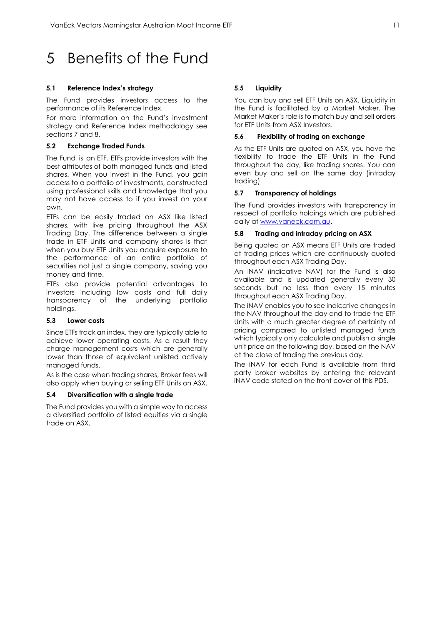# <span id="page-11-0"></span>5 Benefits of the Fund

## **5.1 Reference Index's strategy**

The Fund provides investors access to the performance of its Reference Index.

For more information on the Fund's investment strategy and Reference Index methodology see sections 7 and 8.

## **5.2 Exchange Traded Funds**

The Fund is an ETF. ETFs provide investors with the best attributes of both managed funds and listed shares. When you invest in the Fund, you gain access to a portfolio of investments, constructed using professional skills and knowledge that you may not have access to if you invest on your own.

ETFs can be easily traded on ASX like listed shares, with live pricing throughout the ASX Trading Day. The difference between a single trade in ETF Units and company shares is that when you buy ETF Units you acquire exposure to the performance of an entire portfolio of securities not just a single company, saving you money and time.

ETFs also provide potential advantages to investors including low costs and full daily transparency of the underlying portfolio holdings.

## **5.3 Lower costs**

Since ETFs track an index, they are typically able to achieve lower operating costs. As a result they charge management costs which are generally lower than those of equivalent unlisted actively managed funds.

As is the case when trading shares, Broker fees will also apply when buying or selling ETF Units on ASX.

#### **5.4 Diversification with a single trade**

The Fund provides you with a simple way to access a diversified portfolio of listed equities via a single trade on ASX.

## **5.5 Liquidity**

You can buy and sell ETF Units on ASX. Liquidity in the Fund is facilitated by a Market Maker. The Market Maker's role is to match buy and sell orders for ETF Units from ASX Investors.

## **5.6 Flexibility of trading on exchange**

As the ETF Units are quoted on ASX, you have the flexibility to trade the ETF Units in the Fund throughout the day, like trading shares. You can even buy and sell on the same day (intraday trading).

## **5.7 Transparency of holdings**

The Fund provides investors with transparency in respect of portfolio holdings which are published daily a[t www.vaneck.com.au.](http://www.vaneck.com.au/)

## **5.8 Trading and intraday pricing on ASX**

Being quoted on ASX means ETF Units are traded at trading prices which are continuously quoted throughout each ASX Trading Day.

An iNAV (indicative NAV) for the Fund is also available and is updated generally every 30 seconds but no less than every 15 minutes throughout each ASX Trading Day.

The iNAV enables you to see indicative changes in the NAV throughout the day and to trade the ETF Units with a much greater degree of certainty of pricing compared to unlisted managed funds which typically only calculate and publish a single unit price on the following day, based on the NAV at the close of trading the previous day.

The iNAV for each Fund is available from third party broker websites by entering the relevant iNAV code stated on the front cover of this PDS.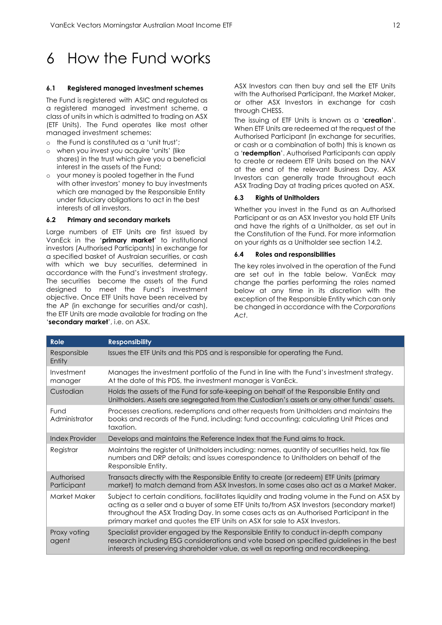# <span id="page-12-0"></span>6 How the Fund works

#### **6.1 Registered managed investment schemes**

The Fund is registered with ASIC and regulated as a registered managed investment scheme, a class of units in which is admitted to trading on ASX (ETF Units). The Fund operates like most other managed investment schemes:

- o the Fund is constituted as a 'unit trust';
- o when you invest you acquire 'units' (like shares) in the trust which give you a beneficial interest in the assets of the Fund;
- o your money is pooled together in the Fund with other investors' money to buy investments which are managed by the Responsible Entity under fiduciary obligations to act in the best interests of all investors.

#### **6.2 Primary and secondary markets**

Large numbers of ETF Units are first issued by VanEck in the '**primary market**' to institutional investors (Authorised Participants) in exchange for a specified basket of Austraian securities, or cash with which we buy securities, determined in accordance with the Fund's investment strategy. The securities become the assets of the Fund designed to meet the Fund's investment objective. Once ETF Units have been received by the AP (in exchange for securities and/or cash), the ETF Units are made available for trading on the '**secondary market**', i.e. on ASX.

ASX Investors can then buy and sell the ETF Units with the Authorised Participant, the Market Maker, or other ASX Investors in exchange for cash through CHESS.

The issuing of ETF Units is known as a '**creation**'. When ETF Units are redeemed at the request of the Authorised Participant (in exchange for securities, or cash or a combination of both) this is known as a '**redemption**'. Authorised Participants can apply to create or redeem ETF Units based on the NAV at the end of the relevant Business Day. ASX Investors can generally trade throughout each ASX Trading Day at trading prices quoted on ASX.

#### **6.3 Rights of Unitholders**

Whether you invest in the Fund as an Authorised Participant or as an ASX Investor you hold ETF Units and have the rights of a Unitholder, as set out in the Constitution of the Fund. For more information on your rights as a Unitholder see section 14.2.

#### **6.4 Roles and responsibilities**

The key roles involved in the operation of the Fund are set out in the table below. VanEck may change the parties performing the roles named below at any time in its discretion with the exception of the Responsible Entity which can only be changed in accordance with the *Corporations Act*.

| <b>Role</b>               | <b>Responsibility</b>                                                                                                                                                                                                                                                                                                                                             |
|---------------------------|-------------------------------------------------------------------------------------------------------------------------------------------------------------------------------------------------------------------------------------------------------------------------------------------------------------------------------------------------------------------|
| Responsible<br>Entity     | Issues the ETF Units and this PDS and is responsible for operating the Fund.                                                                                                                                                                                                                                                                                      |
| Investment<br>manager     | Manages the investment portfolio of the Fund in line with the Fund's investment strategy.<br>At the date of this PDS, the investment manager is VanEck.                                                                                                                                                                                                           |
| Custodian                 | Holds the assets of the Fund for safe-keeping on behalf of the Responsible Entity and<br>Unitholders. Assets are segregated from the Custodian's assets or any other funds' assets.                                                                                                                                                                               |
| Fund<br>Administrator     | Processes creations, redemptions and other requests from Unitholders and maintains the<br>books and records of the Fund, including: fund accounting; calculating Unit Prices and<br>taxation.                                                                                                                                                                     |
| <b>Index Provider</b>     | Develops and maintains the Reference Index that the Fund aims to track.                                                                                                                                                                                                                                                                                           |
| Registrar                 | Maintains the register of Unitholders including: names, quantity of securities held, tax file<br>numbers and DRP details; and issues correspondence to Unitholders on behalf of the<br>Responsible Entity.                                                                                                                                                        |
| Authorised<br>Participant | Transacts directly with the Responsible Entity to create (or redeem) ETF Units (primary<br>market) to match demand from ASX Investors. In some cases also act as a Market Maker.                                                                                                                                                                                  |
| Market Maker              | Subject to certain conditions, facilitates liquidity and trading volume in the Fund on ASX by<br>acting as a seller and a buyer of some ETF Units to/from ASX Investors (secondary market)<br>throughout the ASX Trading Day. In some cases acts as an Authorised Participant in the<br>primary market and quotes the ETF Units on ASX for sale to ASX Investors. |
| Proxy voting<br>agent     | Specialist provider engaged by the Responsible Entity to conduct in-depth company<br>research including ESG considerations and vote based on specified guidelines in the best<br>interests of preserving shareholder value, as well as reporting and recordkeeping.                                                                                               |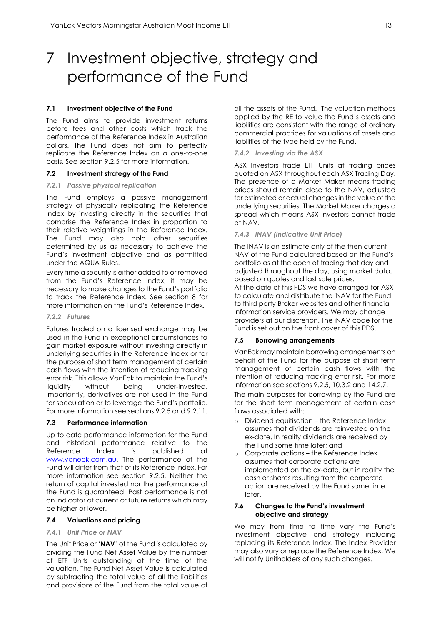# <span id="page-13-0"></span>7 Investment objective, strategy and performance of the Fund

#### **7.1 Investment objective of the Fund**

The Fund aims to provide investment returns before fees and other costs which track the performance of the Reference Index in Australian dollars. The Fund does not aim to perfectly replicate the Reference Index on a one-to-one basis. See section 9.2.5 for more information.

#### **7.2 Investment strategy of the Fund**

#### *7.2.1 Passive physical replication*

The Fund employs a passive management strategy of physically replicating the Reference Index by investing directly in the securities that comprise the Reference Index in proportion to their relative weightings in the Reference Index. The Fund may also hold other securities determined by us as necessary to achieve the Fund's investment objective and as permitted under the AQUA Rules.

Every time a security is either added to or removed from the Fund's Reference Index, it may be necessary to make changes to the Fund's portfolio to track the Reference Index. See section 8 for more information on the Fund's Reference Index.

#### *7.2.2 Futures*

Futures traded on a licensed exchange may be used in the Fund in exceptional circumstances to gain market exposure without investing directly in underlying securities in the Reference Index or for the purpose of short term management of certain cash flows with the intention of reducing tracking error risk. This allows VanEck to maintain the Fund's liquidity without being under-invested. Importantly, derivatives are not used in the Fund for speculation or to leverage the Fund's portfolio. For more information see sections 9.2.5 and 9.2.11.

#### **7.3 Performance information**

Up to date performance information for the Fund and historical performance relative to the Reference Index is published at [www.vaneck.com.au.](http://www.vaneck.com.au/) The performance of the Fund will differ from that of its Reference Index. For more information see section 9.2.5. Neither the return of capital invested nor the performance of the Fund is guaranteed. Past performance is not an indicator of current or future returns which may be higher or lower.

#### **7.4 Valuations and pricing**

#### *7.4.1 Unit Price or NAV*

The Unit Price or '**NAV**' of the Fund is calculated by dividing the Fund Net Asset Value by the number of ETF Units outstanding at the time of the valuation. The Fund Net Asset Value is calculated by subtracting the total value of all the liabilities and provisions of the Fund from the total value of all the assets of the Fund. The valuation methods applied by the RE to value the Fund's assets and liabilities are consistent with the range of ordinary commercial practices for valuations of assets and liabilities of the type held by the Fund.

#### *7.4.2 Investing via the ASX*

ASX Investors trade ETF Units at trading prices quoted on ASX throughout each ASX Trading Day. The presence of a Market Maker means trading prices should remain close to the NAV, adjusted for estimated or actual changes in the value of the underlying securities. The Market Maker charges a spread which means ASX Investors cannot trade at NAV.

#### *7.4.3 iNAV (Indicative Unit Price)*

The iNAV is an estimate only of the then current NAV of the Fund calculated based on the Fund's portfolio as at the open of trading that day and adjusted throughout the day, using market data, based on quotes and last sale prices. At the date of this PDS we have arranged for ASX to calculate and distribute the iNAV for the Fund to third party Broker websites and other financial information service providers. We may change providers at our discretion. The iNAV code for the Fund is set out on the front cover of this PDS.

#### **7.5 Borrowing arrangements**

VanEck may maintain borrowing arrangements on behalf of the Fund for the purpose of short term management of certain cash flows with the intention of reducing tracking error risk. For more information see sections 9.2.5, 10.3.2 and 14.2.7. The main purposes for borrowing by the Fund are for the short term management of certain cash flows associated with:

- o Dividend equitisation the Reference Index assumes that dividends are reinvested on the ex-date. In reality dividends are received by the Fund some time later; and
- o Corporate actions the Reference Index assumes that corporate actions are implemented on the ex-date, but in reality the cash or shares resulting from the corporate action are received by the Fund some time later.

#### **7.6 Changes to the Fund's investment objective and strategy**

We may from time to time vary the Fund's investment objective and strategy including replacing its Reference Index. The Index Provider may also vary or replace the Reference Index. We will notify Unitholders of any such changes.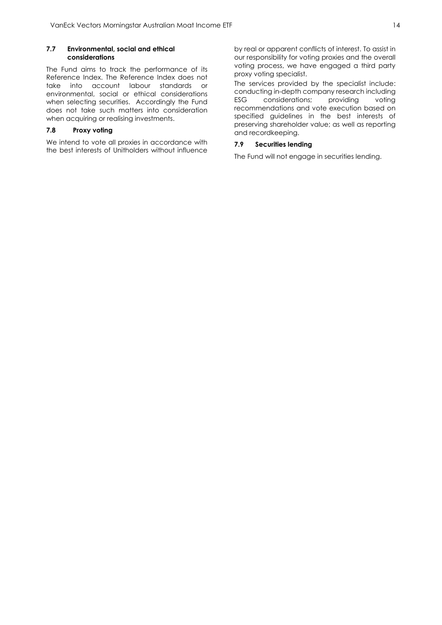#### **7.7 Environmental, social and ethical considerations**

The Fund aims to track the performance of its Reference Index. The Reference Index does not take into account labour standards or environmental, social or ethical considerations when selecting securities. Accordingly the Fund does not take such matters into consideration when acquiring or realising investments.

## **7.8 Proxy voting**

We intend to vote all proxies in accordance with the best interests of Unitholders without influence by real or apparent conflicts of interest. To assist in our responsibility for voting proxies and the overall voting process, we have engaged a third party proxy voting specialist.

The services provided by the specialist include: conducting in-depth company research including ESG considerations; providing voting recommendations and vote execution based on specified guidelines in the best interests of preserving shareholder value; as well as reporting and recordkeeping.

## **7.9 Securities lending**

The Fund will not engage in securities lending.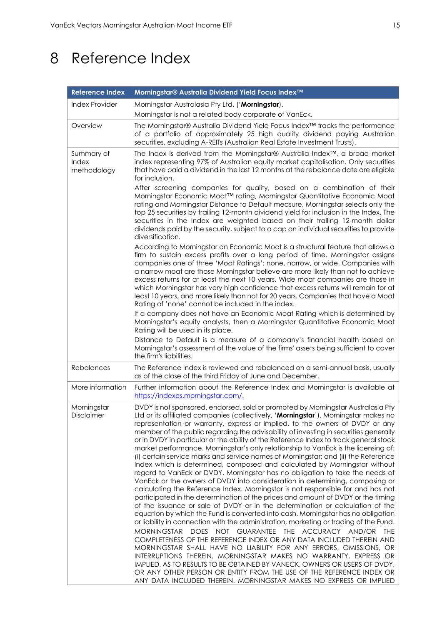# <span id="page-15-0"></span>8 Reference Index

| <b>Reference Index</b>                    | Morningstar® Australia Dividend Yield Focus Index™                                                                                                                                                                                                                                                                                                                                                                                                                                                                                                                                                                                                                                                                                                                                                                                                                                                                                                                                                                                                                                                                                                                                                                                                                                                                                                                                                                                                                                                                                                                                                                                                                                                                                                                                                                     |
|-------------------------------------------|------------------------------------------------------------------------------------------------------------------------------------------------------------------------------------------------------------------------------------------------------------------------------------------------------------------------------------------------------------------------------------------------------------------------------------------------------------------------------------------------------------------------------------------------------------------------------------------------------------------------------------------------------------------------------------------------------------------------------------------------------------------------------------------------------------------------------------------------------------------------------------------------------------------------------------------------------------------------------------------------------------------------------------------------------------------------------------------------------------------------------------------------------------------------------------------------------------------------------------------------------------------------------------------------------------------------------------------------------------------------------------------------------------------------------------------------------------------------------------------------------------------------------------------------------------------------------------------------------------------------------------------------------------------------------------------------------------------------------------------------------------------------------------------------------------------------|
| <b>Index Provider</b>                     | Morningstar Australasia Pty Ltd. ('Morningstar).                                                                                                                                                                                                                                                                                                                                                                                                                                                                                                                                                                                                                                                                                                                                                                                                                                                                                                                                                                                                                                                                                                                                                                                                                                                                                                                                                                                                                                                                                                                                                                                                                                                                                                                                                                       |
|                                           | Morningstar is not a related body corporate of VanEck.                                                                                                                                                                                                                                                                                                                                                                                                                                                                                                                                                                                                                                                                                                                                                                                                                                                                                                                                                                                                                                                                                                                                                                                                                                                                                                                                                                                                                                                                                                                                                                                                                                                                                                                                                                 |
| Overview                                  | The Morningstar® Australia Dividend Yield Focus Index™ tracks the performance<br>of a portfolio of approximately 25 high quality dividend paying Australian<br>securities, excluding A-REITs (Australian Real Estate Investment Trusts).                                                                                                                                                                                                                                                                                                                                                                                                                                                                                                                                                                                                                                                                                                                                                                                                                                                                                                                                                                                                                                                                                                                                                                                                                                                                                                                                                                                                                                                                                                                                                                               |
| Summary of<br><b>Index</b><br>methodology | The Index is derived from the Morningstar® Australia Index™, a broad market<br>index representing 97% of Australian equity market capitalisation. Only securities<br>that have paid a dividend in the last 12 months at the rebalance date are eligible<br>for inclusion.<br>After screening companies for quality, based on a combination of their                                                                                                                                                                                                                                                                                                                                                                                                                                                                                                                                                                                                                                                                                                                                                                                                                                                                                                                                                                                                                                                                                                                                                                                                                                                                                                                                                                                                                                                                    |
|                                           | Morningstar Economic Moat™ rating, Morningstar Quantitative Economic Moat<br>rating and Morningstar Distance to Default measure, Morningstar selects only the<br>top 25 securities by trailing 12-month dividend yield for inclusion in the Index. The<br>securities in the Index are weighted based on their trailing 12-month dollar<br>dividends paid by the security, subject to a cap on individual securities to provide<br>diversification.                                                                                                                                                                                                                                                                                                                                                                                                                                                                                                                                                                                                                                                                                                                                                                                                                                                                                                                                                                                                                                                                                                                                                                                                                                                                                                                                                                     |
|                                           | According to Morningstar an Economic Moat is a structural feature that allows a<br>firm to sustain excess profits over a long period of time. Morningstar assigns<br>companies one of three 'Moat Ratings': none, narrow, or wide. Companies with<br>a narrow moat are those Morningstar believe are more likely than not to achieve<br>excess returns for at least the next 10 years. Wide moat companies are those in<br>which Morningstar has very high confidence that excess returns will remain for at<br>least 10 years, and more likely than not for 20 years. Companies that have a Moat<br>Rating of 'none' cannot be included in the index.                                                                                                                                                                                                                                                                                                                                                                                                                                                                                                                                                                                                                                                                                                                                                                                                                                                                                                                                                                                                                                                                                                                                                                 |
|                                           | If a company does not have an Economic Moat Rating which is determined by<br>Morningstar's equity analysts, then a Morningstar Quantitative Economic Moat<br>Rating will be used in its place.                                                                                                                                                                                                                                                                                                                                                                                                                                                                                                                                                                                                                                                                                                                                                                                                                                                                                                                                                                                                                                                                                                                                                                                                                                                                                                                                                                                                                                                                                                                                                                                                                         |
|                                           | Distance to Default is a measure of a company's financial health based on<br>Morningstar's assessment of the value of the firms' assets being sufficient to cover<br>the firm's liabilities.                                                                                                                                                                                                                                                                                                                                                                                                                                                                                                                                                                                                                                                                                                                                                                                                                                                                                                                                                                                                                                                                                                                                                                                                                                                                                                                                                                                                                                                                                                                                                                                                                           |
| Rebalances                                | The Reference Index is reviewed and rebalanced on a semi-annual basis, usually<br>as of the close of the third Friday of June and December.                                                                                                                                                                                                                                                                                                                                                                                                                                                                                                                                                                                                                                                                                                                                                                                                                                                                                                                                                                                                                                                                                                                                                                                                                                                                                                                                                                                                                                                                                                                                                                                                                                                                            |
| More information                          | Further information about the Reference Index and Morningstar is available at<br>https://indexes.morningstar.com/.                                                                                                                                                                                                                                                                                                                                                                                                                                                                                                                                                                                                                                                                                                                                                                                                                                                                                                                                                                                                                                                                                                                                                                                                                                                                                                                                                                                                                                                                                                                                                                                                                                                                                                     |
| Morningstar<br>Disclaimer                 | DVDY is not sponsored, endorsed, sold or promoted by Morningstar Australasia Pty<br>Ltd or its affiliated companies (collectively, 'Morningstar'). Morningstar makes no<br>representation or warranty, express or implied, to the owners of DVDY or any<br>member of the public regarding the advisability of investing in securities generally<br>or in DVDY in particular or the ability of the Reference Index to track general stock<br>market performance. Morningstar's only relationship to VanEck is the licensing of:<br>(i) certain service marks and service names of Morningstar; and (ii) the Reference<br>Index which is determined, composed and calculated by Morningstar without<br>regard to VanEck or DVDY. Morningstar has no obligation to take the needs of<br>VanEck or the owners of DVDY into consideration in determining, composing or<br>calculating the Reference Index. Morningstar is not responsible for and has not<br>participated in the determination of the prices and amount of DVDY or the timing<br>of the issuance or sale of DVDY or in the determination or calculation of the<br>equation by which the Fund is converted into cash. Morningstar has no obligation<br>or liability in connection with the administration, marketing or trading of the Fund.<br><b>MORNINGSTAR</b><br>DOES NOT GUARANTEE THE ACCURACY AND/OR THE<br>COMPLETENESS OF THE REFERENCE INDEX OR ANY DATA INCLUDED THEREIN AND<br>MORNINGSTAR SHALL HAVE NO LIABILITY FOR ANY ERRORS, OMISSIONS, OR<br>INTERRUPTIONS THEREIN. MORNINGSTAR MAKES NO WARRANTY, EXPRESS OR<br>IMPLIED, AS TO RESULTS TO BE OBTAINED BY VANECK, OWNERS OR USERS OF DVDY,<br>OR ANY OTHER PERSON OR ENTITY FROM THE USE OF THE REFERENCE INDEX OR<br>ANY DATA INCLUDED THEREIN. MORNINGSTAR MAKES NO EXPRESS OR IMPLIED |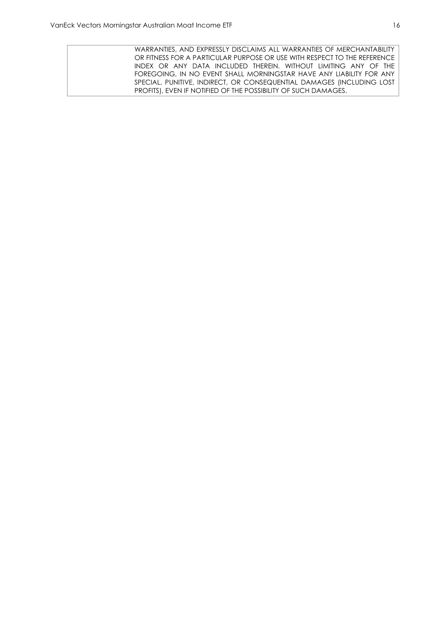WARRANTIES, AND EXPRESSLY DISCLAIMS ALL WARRANTIES OF MERCHANTABILITY OR FITNESS FOR A PARTICULAR PURPOSE OR USE WITH RESPECT TO THE REFERENCE INDEX OR ANY DATA INCLUDED THEREIN. WITHOUT LIMITING ANY OF THE FOREGOING, IN NO EVENT SHALL MORNINGSTAR HAVE ANY LIABILITY FOR ANY SPECIAL, PUNITIVE, INDIRECT, OR CONSEQUENTIAL DAMAGES (INCLUDING LOST PROFITS), EVEN IF NOTIFIED OF THE POSSIBILITY OF SUCH DAMAGES.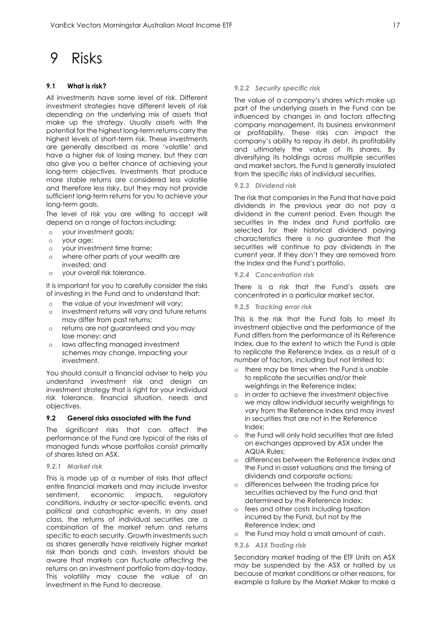## <span id="page-17-0"></span>9 Risks

### **9.1 What is risk?**

All investments have some level of risk. Different investment strategies have different levels of risk depending on the underlying mix of assets that make up the strategy. Usually assets with the potential for the highest long-term returns carry the highest levels of short-term risk. These investments are generally described as more 'volatile' and have a higher risk of losing money, but they can also give you a better chance of achieving your long-term objectives. Investments that produce more stable returns are considered less volatile and therefore less risky, but they may not provide sufficient long-term returns for you to achieve your long-term goals.

The level of risk you are willing to accept will depend on a range of factors including:

- o your investment goals;
- o your age;
- o your investment time frame;
- o where other parts of your wealth are invested; and
- o your overall risk tolerance.

It is important for you to carefully consider the risks of investing in the Fund and to understand that:

- o the value of your investment will vary;
- o investment returns will vary and future returns may differ from past returns;
- o returns are not guaranteed and you may lose money; and
- o laws affecting managed investment schemes may change, impacting your investment.

You should consult a financial adviser to help you understand investment risk and design an investment strategy that is right for your individual risk tolerance, financial situation, needs and objectives.

#### **9.2 General risks associated with the Fund**

The significant risks that can affect the performance of the Fund are typical of the risks of managed funds whose portfolios consist primarily of shares listed on ASX.

*9.2.1 Market risk*

This is made up of a number of risks that affect entire financial markets and may include investor sentiment, economic impacts, regulatory conditions, industry or sector-specific events, and political and catastrophic events. In any asset class, the returns of individual securities are a combination of the market return and returns specific to each security. Growth investments such as shares generally have relatively higher market risk than bonds and cash. Investors should be aware that markets can fluctuate affecting the returns on an investment portfolio from day-today. This volatility may cause the value of an investment in the Fund to decrease.

#### *9.2.2 Security specific risk*

The value of a company's shares which make up part of the underlying assets in the Fund can be influenced by changes in and factors affecting company management, its business environment or profitability. These risks can impact the company's ability to repay its debt, its profitability and ultimately the value of its shares. By diversifying its holdings across multiple securities and market sectors, the Fund is generally insulated from the specific risks of individual securities.

*9.2.3 Dividend risk*

The risk that companies in the Fund that have paid dividends in the previous year do not pay a dividend in the current period. Even though the securities in the Index and Fund portfolio are selected for their historical dividend paying characteristics there is no guarantee that the securities will continue to pay dividends in the current year. If they don't they are removed from the Index and the Fund's portfolio.

#### *9.2.4 Concentration risk*

There is a risk that the Fund's assets are concentrated in a particular market sector.

*9.2.5 Tracking error risk*

This is the risk that the Fund fails to meet its investment objective and the performance of the Fund differs from the performance of its Reference Index, due to the extent to which the Fund is able to replicate the Reference Index, as a result of a number of factors, including but not limited to:

- o there may be times when the Fund is unable to replicate the securities and/or their weightings in the Reference Index;
- o in order to achieve the investment objective we may allow individual security weightings to vary from the Reference Index and may invest in securities that are not in the Reference Index;
- o the Fund will only hold securities that are listed on exchanges approved by ASX under the AQUA Rules;
- o differences between the Reference Index and the Fund in asset valuations and the timing of dividends and corporate actions;
- o differences between the trading price for securities achieved by the Fund and that determined by the Reference Index;
- o fees and other costs including taxation incurred by the Fund, but not by the Reference Index; and
- o the Fund may hold a small amount of cash.
- *9.2.6 ASX Trading risk*

Secondary market trading of the ETF Units on ASX may be suspended by the ASX or halted by us because of market conditions or other reasons, for example a failure by the Market Maker to make a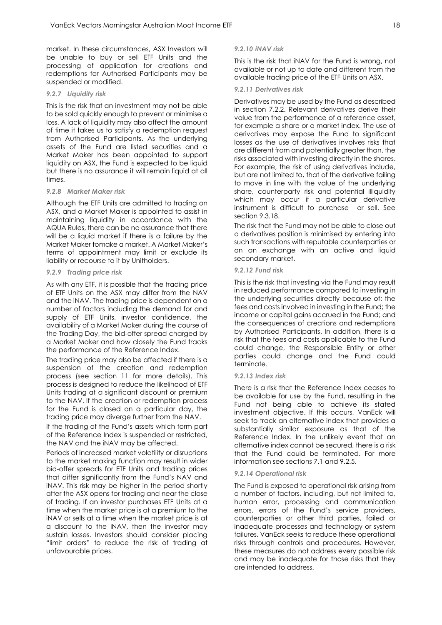market. In these circumstances, ASX Investors will be unable to buy or sell ETF Units and the processing of application for creations and redemptions for Authorised Participants may be suspended or modified.

#### *9.2.7 Liquidity risk*

This is the risk that an investment may not be able to be sold quickly enough to prevent or minimise a loss. A lack of liquidity may also affect the amount of time it takes us to satisfy a redemption request from Authorised Participants. As the underlying assets of the Fund are listed securities and a Market Maker has been appointed to support liquidity on ASX, the Fund is expected to be liquid but there is no assurance it will remain liquid at all times.

## *9.2.8 Market Maker risk*

Although the ETF Units are admitted to trading on ASX, and a Market Maker is appointed to assist in maintaining liquidity in accordance with the AQUA Rules, there can be no assurance that there will be a liquid market if there is a failure by the Market Maker tomake a market. A Market Maker's terms of appointment may limit or exclude its liability or recourse to it by Unitholders.

#### *9.2.9 Trading price risk*

As with any ETF, it is possible that the trading price of ETF Units on the ASX may differ from the NAV and the iNAV. The trading price is dependent on a number of factors including the demand for and supply of ETF Units, investor confidence, the availability of a Market Maker during the course of the Trading Day, the bid-offer spread charged by a Market Maker and how closely the Fund tracks the performance of the Reference Index.

The trading price may also be affected if there is a suspension of the creation and redemption process (see section 11 for more details). This process is designed to reduce the likelihood of ETF Units trading at a significant discount or premium to the NAV. If the creation or redemption process for the Fund is closed on a particular day, the trading price may diverge further from the NAV.

If the trading of the Fund's assets which form part of the Reference Index is suspended or restricted, the NAV and the iNAV may be affected.

Periods of increased market volatility or disruptions to the market making function may result in wider bid-offer spreads for ETF Units and trading prices that differ significantly from the Fund's NAV and iNAV. This risk may be higher in the period shortly after the ASX opens for trading and near the close of trading. If an investor purchases ETF Units at a time when the market price is at a premium to the iNAV or sells at a time when the market price is at a discount to the iNAV, then the investor may sustain losses. Investors should consider placing "limit orders" to reduce the risk of trading at unfavourable prices.

#### *9.2.10 iNAV risk*

This is the risk that iNAV for the Fund is wrong, not available or not up to date and different from the available trading price of the ETF Units on ASX.

#### *9.2.11 Derivatives risk*

Derivatives may be used by the Fund as described in section 7.2.2. Relevant derivatives derive their value from the performance of a reference asset, for example a share or a market index. The use of derivatives may expose the Fund to significant losses as the use of derivatives involves risks that are different from and potentially greater than, the risks associated with investing directly in the shares. For example, the risk of using derivatives include, but are not limited to, that of the derivative failing to move in line with the value of the underlying share, counterparty risk and potential illiquidity which may occur if a particular derivative instrument is difficult to purchase or sell. See section 9.3.18.

The risk that the Fund may not be able to close out a derivatives position is minimised by entering into such transactions with reputable counterparties or on an exchange with an active and liquid secondary market.

#### *9.2.12 Fund risk*

This is the risk that investing via the Fund may result in reduced performance compared to investing in the underlying securities directly because of: the fees and costs involved in investing in the Fund; the income or capital gains accrued in the Fund; and the consequences of creations and redemptions by Authorised Participants. In addition, there is a risk that the fees and costs applicable to the Fund could change, the Responsible Entity or other parties could change and the Fund could terminate.

#### *9.2.13 Index risk*

There is a risk that the Reference Index ceases to be available for use by the Fund, resulting in the Fund not being able to achieve its stated investment objective. If this occurs, VanEck will seek to track an alternative index that provides a substantially similar exposure as that of the Reference Index. In the unlikely event that an alternative index cannot be secured, there is a risk that the Fund could be terminated. For more information see sections 7.1 and 9.2.5.

#### *9.2.14 Operational risk*

The Fund is exposed to operational risk arising from a number of factors, including, but not limited to, human error, processing and communication errors, errors of the Fund's service providers, counterparties or other third parties, failed or inadequate processes and technology or system failures. VanEck seeks to reduce these operational risks through controls and procedures. However, these measures do not address every possible risk and may be inadequate for those risks that they are intended to address.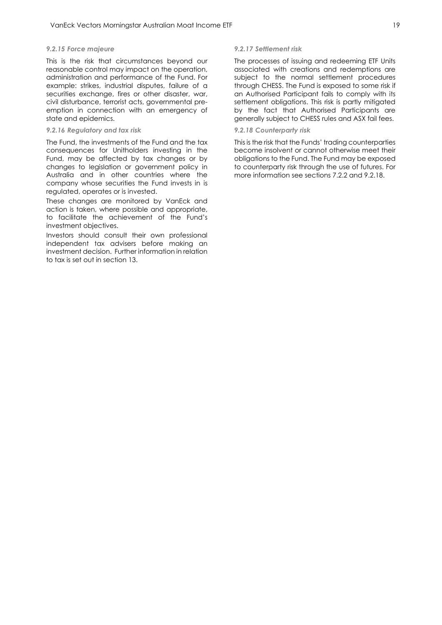#### *9.2.15 Force majeure*

This is the risk that circumstances beyond our reasonable control may impact on the operation, administration and performance of the Fund. For example: strikes, industrial disputes, failure of a securities exchange, fires or other disaster, war, civil disturbance, terrorist acts, governmental preemption in connection with an emergency of state and epidemics.

#### *9.2.16 Regulatory and tax risk*

The Fund, the investments of the Fund and the tax consequences for Unitholders investing in the Fund, may be affected by tax changes or by changes to legislation or government policy in Australia and in other countries where the company whose securities the Fund invests in is regulated, operates or is invested.

These changes are monitored by VanEck and action is taken, where possible and appropriate, to facilitate the achievement of the Fund's investment objectives.

Investors should consult their own professional independent tax advisers before making an investment decision. Further information in relation to tax is set out in section 13.

#### *9.2.17 Settlement risk*

The processes of issuing and redeeming ETF Units associated with creations and redemptions are subject to the normal settlement procedures through CHESS. The Fund is exposed to some risk if an Authorised Participant fails to comply with its settlement obligations. This risk is partly mitigated by the fact that Authorised Participants are generally subject to CHESS rules and ASX fail fees.

#### *9.2.18 Counterparty risk*

This is the risk that the Funds' trading counterparties become insolvent or cannot otherwise meet their obligations to the Fund. The Fund may be exposed to counterparty risk through the use of futures. For more information see sections 7.2.2 and 9.2.18.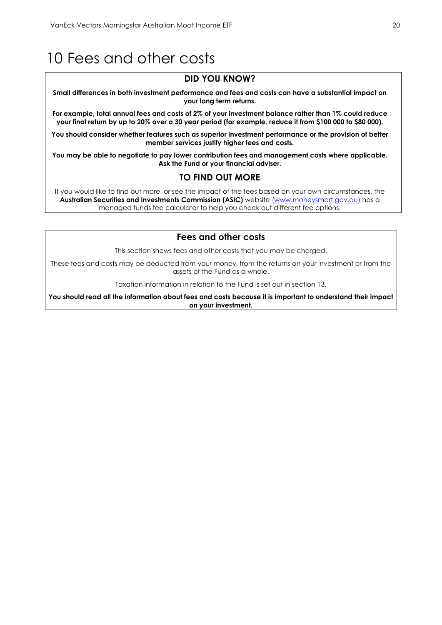# <span id="page-20-0"></span>10 Fees and other costs

## **DID YOU KNOW?**

**Small differences in both investment performance and fees and costs can have a substantial impact on your long term returns.**

**For example, total annual fees and costs of 2% of your investment balance rather than 1% could reduce your final return by up to 20% over a 30 year period (for example, reduce it from \$100 000 to \$80 000).**

**You should consider whether features such as superior investment performance or the provision of better member services justify higher fees and costs.**

**You may be able to negotiate to pay lower contribution fees and management costs where applicable. Ask the Fund or your financial adviser.**

## **TO FIND OUT MORE**

If you would like to find out more, or see the impact of the fees based on your own circumstances, the **Australian Securities and Investments Commission (ASIC)** website [\(www.moneysmart.gov.au\)](http://www.moneysmart.gov.au/) has a managed funds fee calculator to help you check out different fee options.

## **Fees and other costs**

This section shows fees and other costs that you may be charged.

These fees and costs may be deducted from your money, from the returns on your investment or from the assets of the Fund as a whole.

Taxation information in relation to the Fund is set out in section 13.

**You should read all the information about fees and costs because it is important to understand their impact on your investment.**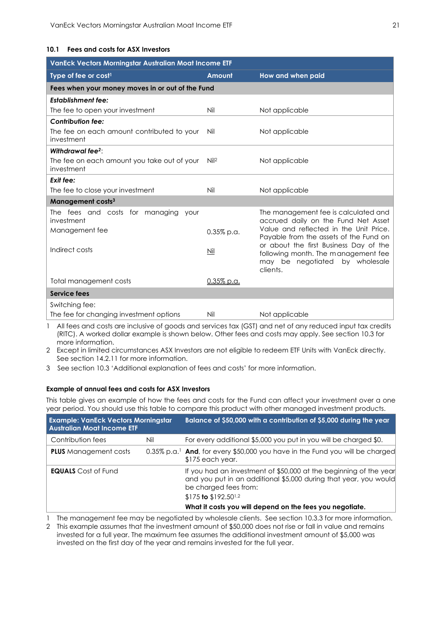#### **10.1 Fees and costs for ASX Investors**

| VanEck Vectors Morningstar Australian Moat Income ETF     |                  |                                                                                                                                |  |
|-----------------------------------------------------------|------------------|--------------------------------------------------------------------------------------------------------------------------------|--|
| Type of fee or cost <sup>1</sup>                          | Amount           | How and when paid                                                                                                              |  |
| Fees when your money moves in or out of the Fund          |                  |                                                                                                                                |  |
| <b>Establishment fee:</b>                                 |                  |                                                                                                                                |  |
| The fee to open your investment                           | Nil              | Not applicable                                                                                                                 |  |
| <b>Contribution fee:</b>                                  |                  |                                                                                                                                |  |
| The fee on each amount contributed to your<br>investment  | Nil              | Not applicable                                                                                                                 |  |
| Withdrawal fee $2$ :                                      |                  |                                                                                                                                |  |
| The fee on each amount you take out of your<br>investment | Nil <sup>2</sup> | Not applicable                                                                                                                 |  |
| Exit fee:                                                 |                  |                                                                                                                                |  |
| The fee to close your investment                          | Nil              | Not applicable                                                                                                                 |  |
| Management costs <sup>3</sup>                             |                  |                                                                                                                                |  |
| The fees and costs for managing<br>your<br>investment     |                  | The management fee is calculated and<br>accrued daily on the Fund Net Asset                                                    |  |
| Management fee                                            | $0.35\%$ p.a.    | Value and reflected in the Unit Price.<br>Payable from the assets of the Fund on                                               |  |
| Indirect costs                                            | Nil              | or about the first Business Day of the<br>following month. The management fee<br>may be negotiated<br>by wholesale<br>clients. |  |
| Total management costs                                    | $0.35\%$ p.a.    |                                                                                                                                |  |
| Service fees                                              |                  |                                                                                                                                |  |
| Switching fee:                                            |                  |                                                                                                                                |  |
| The fee for changing investment options                   | Nil              | Not applicable                                                                                                                 |  |

1 All fees and costs are inclusive of goods and services tax (GST) and net of any reduced input tax credits (RITC). A worked dollar example is shown below. Other fees and costs may apply. See section 10.3 for more information.

2 Except in limited circumstances ASX Investors are not eligible to redeem ETF Units with VanEck directly. See section 14.2.11 for more information.

3 See section 10.3 'Additional explanation of fees and costs' for more information.

#### **Example of annual fees and costs for ASX Investors**

This table gives an example of how the fees and costs for the Fund can affect your investment over a one year period. You should use this table to compare this product with other managed investment products.

| <b>Example: VanEck Vectors Morningstar</b><br><b>Australian Moat Income ETF</b> |     | Balance of \$50,000 with a contribution of \$5,000 during the year                                                                                                                                 |
|---------------------------------------------------------------------------------|-----|----------------------------------------------------------------------------------------------------------------------------------------------------------------------------------------------------|
| Contribution fees                                                               | Nil | For every additional \$5,000 you put in you will be charged \$0.                                                                                                                                   |
| <b>PLUS</b> Management costs                                                    |     | 0.35% p.a. <sup>1</sup> And, for every \$50,000 you have in the Fund you will be charged<br>$$175$ each year.                                                                                      |
| <b>EQUALS</b> Cost of Fund                                                      |     | If you had an investment of \$50,000 at the beginning of the year<br>and you put in an additional \$5,000 during that year, you would<br>be charged fees from:<br>\$175 to \$192.50 <sup>1,2</sup> |
|                                                                                 |     | What it costs you will depend on the fees you negotiate.                                                                                                                                           |

1 The management fee may be negotiated by wholesale clients. See section 10.3.3 for more information.

2 This example assumes that the investment amount of \$50,000 does not rise or fall in value and remains invested for a full year. The maximum fee assumes the additional investment amount of \$5,000 was invested on the first day of the year and remains invested for the full year.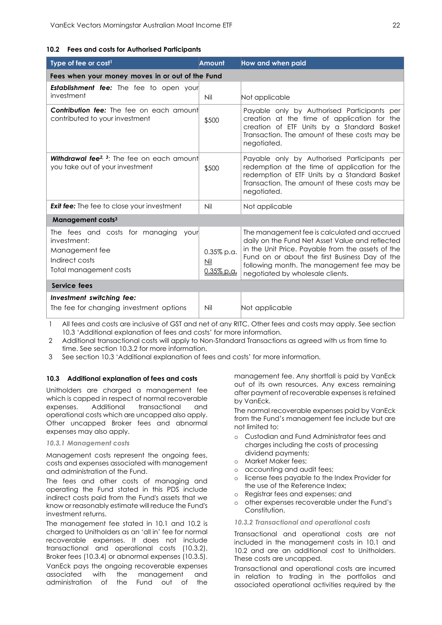#### **10.2 Fees and costs for Authorised Participants**

| Type of fee or cost <sup>1</sup>                                                                                     | Amount                                  | <b>How and when paid</b>                                                                                                                                                                                                                                                                 |  |
|----------------------------------------------------------------------------------------------------------------------|-----------------------------------------|------------------------------------------------------------------------------------------------------------------------------------------------------------------------------------------------------------------------------------------------------------------------------------------|--|
| Fees when your money moves in or out of the Fund                                                                     |                                         |                                                                                                                                                                                                                                                                                          |  |
| <b>Establishment fee:</b> The fee to open your<br>investment                                                         | Nil                                     | Not applicable                                                                                                                                                                                                                                                                           |  |
| <b>Contribution fee:</b> The fee on each amount<br>contributed to your investment                                    | \$500                                   | Payable only by Authorised Participants per<br>creation at the time of application for the<br>creation of ETF Units by a Standard Basket<br>Transaction. The amount of these costs may be<br>negotiated.                                                                                 |  |
| <b>Withdrawal fee</b> <sup>2, 3</sup> : The fee on each amount<br>you take out of your investment                    | \$500                                   | Payable only by Authorised Participants per<br>redemption at the time of application for the<br>redemption of ETF Units by a Standard Basket<br>Transaction. The amount of these costs may be<br>negotiated.                                                                             |  |
| <b>Exit fee:</b> The fee to close your investment                                                                    | Nil                                     | Not applicable                                                                                                                                                                                                                                                                           |  |
| Management costs <sup>3</sup>                                                                                        |                                         |                                                                                                                                                                                                                                                                                          |  |
| The fees and costs for managing<br>vour<br>investment:<br>Management fee<br>Indirect costs<br>Total management costs | $0.35\%$ p.a.<br>$Mil$<br>$0.35\%$ p.a. | The management fee is calculated and accrued<br>daily on the Fund Net Asset Value and reflected<br>in the Unit Price. Payable from the assets of the<br>Fund on or about the first Business Day of the<br>following month. The management fee may be<br>negotiated by wholesale clients. |  |
| Service fees                                                                                                         |                                         |                                                                                                                                                                                                                                                                                          |  |
| Investment switching fee:<br>The fee for changing investment options                                                 | Nil                                     | Not applicable                                                                                                                                                                                                                                                                           |  |

1 All fees and costs are inclusive of GST and net of any RITC. Other fees and costs may apply. See section 10.3 'Additional explanation of fees and costs' for more information.

2 Additional transactional costs will apply to Non-Standard Transactions as agreed with us from time to time. See section 10.3.2 for more information.

3 See section 10.3 'Additional explanation of fees and costs' for more information.

#### **10.3 Additional explanation of fees and costs**

Unitholders are charged a management fee which is capped in respect of normal recoverable expenses. Additional transactional and operational costs which are uncapped also apply. Other uncapped Broker fees and abnormal expenses may also apply.

#### *10.3.1 Management costs*

Management costs represent the ongoing fees, costs and expenses associated with management and administration of the Fund.

The fees and other costs of managing and operating the Fund stated in this PDS include indirect costs paid from the Fund's assets that we know or reasonably estimate will reduce the Fund's investment returns.

The management fee stated in 10.1 and 10.2 is charged to Unitholders as an 'all in' fee for normal recoverable expenses. It does not include transactional and operational costs (10.3.2), Broker fees (10.3.4) or abnormal expenses (10.3.5).

VanEck pays the ongoing recoverable expenses associated with the management and administration of the Fund out of the

management fee. Any shortfall is paid by VanEck out of its own resources. Any excess remaining after payment of recoverable expenses is retained by VanEck.

The normal recoverable expenses paid by VanEck from the Fund's management fee include but are not limited to:

- o Custodian and Fund Administrator fees and charges including the costs of processing dividend payments;
- o Market Maker fees;
- o accounting and audit fees;
- o license fees payable to the Index Provider for the use of the Reference Index;
- o Registrar fees and expenses; and
- o other expenses recoverable under the Fund's Constitution.

#### *10.3.2 Transactional and operational costs*

Transactional and operational costs are not included in the management costs in 10.1 and 10.2 and are an additional cost to Unitholders. These costs are uncapped.

Transactional and operational costs are incurred in relation to trading in the portfolios and associated operational activities required by the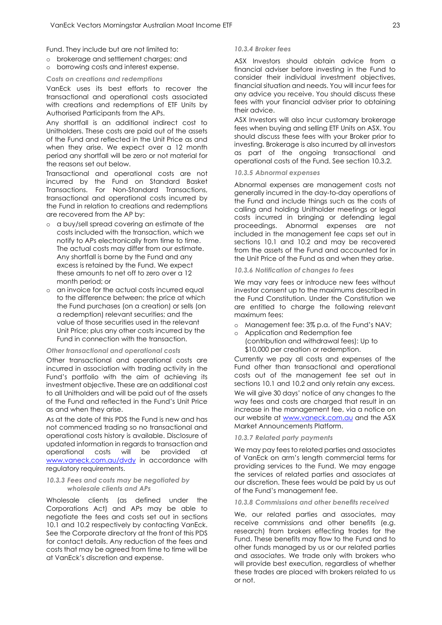Fund. They include but are not limited to:

- o brokerage and settlement charges; and
- o borrowing costs and interest expense.

#### *Costs on creations and redemptions*

VanEck uses its best efforts to recover the transactional and operational costs associated with creations and redemptions of ETF Units by Authorised Participants from the APs.

Any shortfall is an additional indirect cost to Unitholders. These costs are paid out of the assets of the Fund and reflected in the Unit Price as and when they arise. We expect over a 12 month period any shortfall will be zero or not material for the reasons set out below.

Transactional and operational costs are not incurred by the Fund on Standard Basket Transactions. For Non-Standard Transactions, transactional and operational costs incurred by the Fund in relation to creations and redemptions are recovered from the AP by:

- o a buy/sell spread covering an estimate of the costs included with the transaction, which we notify to APs electronically from time to time. The actual costs may differ from our estimate. Any shortfall is borne by the Fund and any excess is retained by the Fund. We expect these amounts to net off to zero over a 12 month period; or
- o an invoice for the actual costs incurred equal to the difference between: the price at which the Fund purchases (on a creation) or sells (on a redemption) relevant securities; and the value of those securities used in the relevant Unit Price; plus any other costs incurred by the Fund in connection with the transaction.

#### *Other transactional and operational costs*

Other transactional and operational costs are incurred in association with trading activity in the Fund's portfolio with the aim of achieving its investment objective. These are an additional cost to all Unitholders and will be paid out of the assets of the Fund and reflected in the Fund's Unit Price as and when they arise.

As at the date of this PDS the Fund is new and has not commenced trading so no transactional and operational costs history is available. Disclosure of updated information in regards to transaction and operational costs will be provided at [www.vaneck.com.au/dvdy](http://www.vaneck.com.au/dvdy) in accordance with regulatory requirements.

#### *10.3.3 Fees and costs may be negotiated by wholesale clients and APs*

Wholesale clients (as defined under the Corporations Act) and APs may be able to negotiate the fees and costs set out in sections 10.1 and 10.2 respectively by contacting VanEck. See the Corporate directory at the front of this PDS for contact details. Any reduction of the fees and costs that may be agreed from time to time will be at VanEck's discretion and expense.

#### *10.3.4 Broker fees*

ASX Investors should obtain advice from a financial adviser before investing in the Fund to consider their individual investment objectives, financial situation and needs. You will incur fees for any advice you receive. You should discuss these fees with your financial adviser prior to obtaining their advice.

ASX Investors will also incur customary brokerage fees when buying and selling ETF Units on ASX. You should discuss these fees with your Broker prior to investing. Brokerage is also incurred by all investors as part of the ongoing transactional and operational costs of the Fund. See section 10.3.2.

#### *10.3.5 Abnormal expenses*

Abnormal expenses are management costs not generally incurred in the day-to-day operations of the Fund and include things such as the costs of calling and holding Unitholder meetings or legal costs incurred in bringing or defending legal proceedings. Abnormal expenses are not included in the management fee caps set out in sections 10.1 and 10.2 and may be recovered from the assets of the Fund and accounted for in the Unit Price of the Fund as and when they arise.

#### *10.3.6 Notification of changes to fees*

We may vary fees or introduce new fees without investor consent up to the maximums described in the Fund Constitution. Under the Constitution we are entitled to charge the following relevant maximum fees:

- o Management fee: 3% p.a. of the Fund's NAV;
- Application and Redemption fee
	- (contribution and withdrawal fees): Up to \$10,000 per creation or redemption.

Currently we pay all costs and expenses of the Fund other than transactional and operational costs out of the management fee set out in sections 10.1 and 10.2 and only retain any excess. We will give 30 days' notice of any changes to the way fees and costs are charged that result in an increase in the management fee, via a notice on our website at [www.vaneck.com.au](http://www.vaneck.com.au/) and the ASX Market Announcements Platform.

#### *10.3.7 Related party payments*

We may pay fees to related parties and associates of VanEck on arm's length commercial terms for providing services to the Fund. We may engage the services of related parties and associates at our discretion. These fees would be paid by us out of the Fund's management fee.

#### *10.3.8 Commissions and other benefits received*

We, our related parties and associates, may receive commissions and other benefits (e.g. research) from brokers effecting trades for the Fund. These benefits may flow to the Fund and to other funds managed by us or our related parties and associates. We trade only with brokers who will provide best execution, regardless of whether these trades are placed with brokers related to us or not.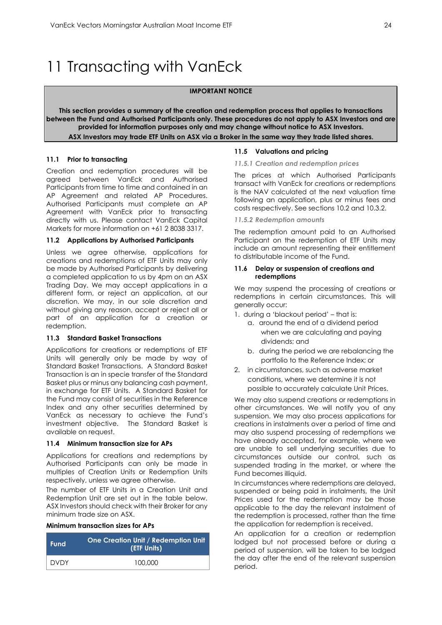# <span id="page-24-0"></span>11 Transacting with VanEck

#### **IMPORTANT NOTICE**

**This section provides a summary of the creation and redemption process that applies to transactions between the Fund and Authorised Participants only. These procedures do not apply to ASX Investors and are provided for information purposes only and may change without notice to ASX Investors. ASX Investors may trade ETF Units on ASX via a Broker in the same way they trade listed shares.**

#### **11.1 Prior to transacting**

Creation and redemption procedures will be agreed between VanEck and Authorised Participants from time to time and contained in an AP Agreement and related AP Procedures. Authorised Participants must complete an AP Agreement with VanEck prior to transacting directly with us. Please contact VanEck Capital Markets for more information on +61 2 8038 3317.

#### **11.2 Applications by Authorised Participants**

Unless we agree otherwise, applications for creations and redemptions of ETF Units may only be made by Authorised Participants by delivering a completed application to us by 4pm on an ASX Trading Day. We may accept applications in a different form, or reject an application, at our discretion. We may, in our sole discretion and without giving any reason, accept or reject all or part of an application for a creation or redemption.

#### **11.3 Standard Basket Transactions**

Applications for creations or redemptions of ETF Units will generally only be made by way of Standard Basket Transactions. A Standard Basket Transaction is an in specie transfer of the Standard Basket plus or minus any balancing cash payment, in exchange for ETF Units. A Standard Basket for the Fund may consist of securities in the Reference Index and any other securities determined by VanEck as necessary to achieve the Fund's investment objective. The Standard Basket is available on request.

#### **11.4 Minimum transaction size for APs**

Applications for creations and redemptions by Authorised Participants can only be made in multiples of Creation Units or Redemption Units respectively, unless we agree otherwise.

The number of ETF Units in a Creation Unit and Redemption Unit are set out in the table below. ASX Investors should check with their Broker for any minimum trade size on ASX.

#### **Minimum transaction sizes for APs**

| <b>Fund</b> | <b>One Creation Unit / Redemption Unit</b><br>(ETF Units) |
|-------------|-----------------------------------------------------------|
| <b>DVDY</b> | 100,000                                                   |

#### **11.5 Valuations and pricing**

#### *11.5.1 Creation and redemption prices*

The prices at which Authorised Participants transact with VanEck for creations or redemptions is the NAV calculated at the next valuation time following an application, plus or minus fees and costs respectively. See sections 10.2 and 10.3.2.

#### *11.5.2 Redemption amounts*

The redemption amount paid to an Authorised Participant on the redemption of ETF Units may include an amount representing their entitlement to distributable income of the Fund.

#### **11.6 Delay or suspension of creations and redemptions**

We may suspend the processing of creations or redemptions in certain circumstances. This will generally occur:

- 1. during a 'blackout period' that is:
	- a. around the end of a dividend period when we are calculating and paying dividends; and
	- b. during the period we are rebalancing the portfolio to the Reference Index; or
- 2. in circumstances, such as adverse market conditions, where we determine it is not possible to accurately calculate Unit Prices.

We may also suspend creations or redemptions in other circumstances. We will notify you of any suspension. We may also process applications for creations in instalments over a period of time and may also suspend processing of redemptions we have already accepted, for example, where we are unable to sell underlying securities due to circumstances outside our control, such as suspended trading in the market, or where the Fund becomes illiquid.

In circumstances where redemptions are delayed, suspended or being paid in instalments, the Unit Prices used for the redemption may be those applicable to the day the relevant instalment of the redemption is processed, rather than the time the application for redemption is received.

An application for a creation or redemption lodged but not processed before or during a period of suspension, will be taken to be lodged the day after the end of the relevant suspension period.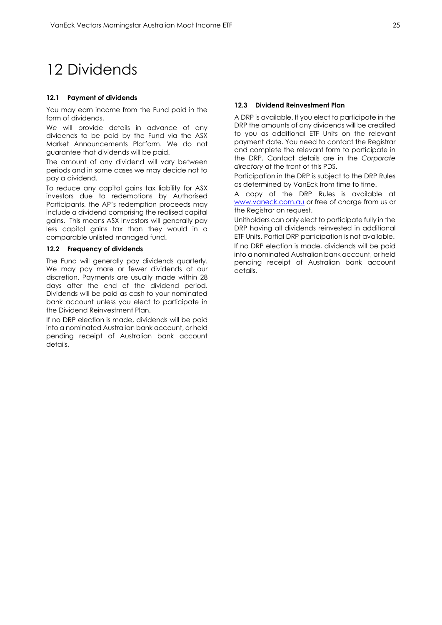# <span id="page-25-0"></span>12 Dividends

#### **12.1 Payment of dividends**

You may earn income from the Fund paid in the form of dividends.

We will provide details in advance of any dividends to be paid by the Fund via the ASX Market Announcements Platform. We do not guarantee that dividends will be paid.

The amount of any dividend will vary between periods and in some cases we may decide not to pay a dividend.

To reduce any capital gains tax liability for ASX investors due to redemptions by Authorised Participants, the AP's redemption proceeds may include a dividend comprising the realised capital gains. This means ASX Investors will generally pay less capital gains tax than they would in a comparable unlisted managed fund.

#### **12.2 Frequency of dividends**

The Fund will generally pay dividends quarterly. We may pay more or fewer dividends at our discretion. Payments are usually made within 28 days after the end of the dividend period. Dividends will be paid as cash to your nominated bank account unless you elect to participate in the Dividend Reinvestment Plan.

If no DRP election is made, dividends will be paid into a nominated Australian bank account, or held pending receipt of Australian bank account details.

#### **12.3 Dividend Reinvestment Plan**

A DRP is available. If you elect to participate in the DRP the amounts of any dividends will be credited to you as additional ETF Units on the relevant payment date. You need to contact the Registrar and complete the relevant form to participate in the DRP. Contact details are in the *Corporate directory* at the front of this PDS.

Participation in the DRP is subject to the DRP Rules as determined by VanEck from time to time.

A copy of the DRP Rules is available at [www.vaneck.com.au](http://www.vaneck.com.au/) or free of charge from us or the Registrar on request.

Unitholders can only elect to participate fully in the DRP having all dividends reinvested in additional ETF Units. Partial DRP participation is not available.

If no DRP election is made, dividends will be paid into a nominated Australian bank account, or held pending receipt of Australian bank account details.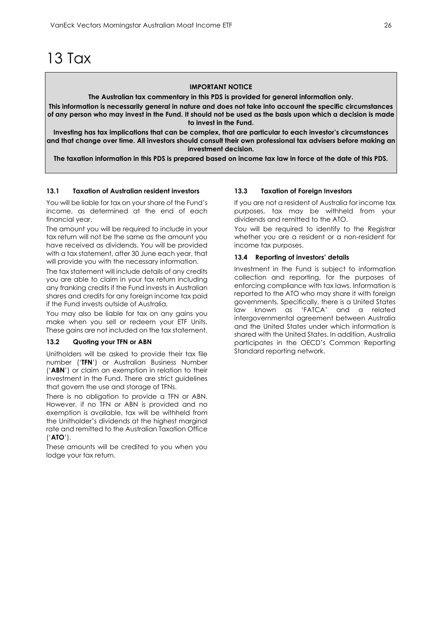# <span id="page-26-0"></span>13 Tax

#### **IMPORTANT NOTICE**

**The Australian tax commentary in this PDS is provided for general information only.**

**This information is necessarily general in nature and does not take into account the specific circumstances of any person who may invest in the Fund. It should not be used as the basis upon which a decision is made to invest in the Fund.**

**Investing has tax implications that can be complex, that are particular to each investor's circumstances and that change over time. All investors should consult their own professional tax advisers before making an investment decision.**

**The taxation information in this PDS is prepared based on income tax law in force at the date of this PDS.**

#### **13.1 Taxation of Australian resident investors**

You will be liable for tax on your share of the Fund's income, as determined at the end of each financial year.

The amount you will be required to include in your tax return will not be the same as the amount you have received as dividends. You will be provided with a tax statement, after 30 June each year, that will provide you with the necessary information.

The tax statement will include details of any credits you are able to claim in your tax return including any franking credits if the Fund invests in Australian shares and credits for any foreign income tax paid if the Fund invests outside of Australia.

You may also be liable for tax on any gains you make when you sell or redeem your ETF Units. These gains are not included on the tax statement.

#### **13.2 Quoting your TFN or ABN**

Unitholders will be asked to provide their tax file number ('**TFN**') or Australian Business Number ('**ABN**') or claim an exemption in relation to their investment in the Fund. There are strict guidelines that govern the use and storage of TFNs.

There is no obligation to provide a TFN or ABN. However, if no TFN or ABN is provided and no exemption is available, tax will be withheld from the Unitholder's dividends at the highest marginal rate and remitted to the Australian Taxation Office ('**ATO**').

These amounts will be credited to you when you lodge your tax return.

#### **13.3 Taxation of Foreign Investors**

If you are not a resident of Australia for income tax purposes, tax may be withheld from your dividends and remitted to the ATO.

You will be required to identify to the Registrar whether you are a resident or a non-resident for income tax purposes.

#### **13.4 Reporting of investors' details**

Investment in the Fund is subject to information collection and reporting, for the purposes of enforcing compliance with tax laws. Information is reported to the ATO who may share it with foreign governments. Specifically, there is a United States law known as 'FATCA' and a related intergovernmental agreement between Australia and the United States under which information is shared with the United States. In addition, Australia participates in the OECD's Common Reporting Standard reporting network.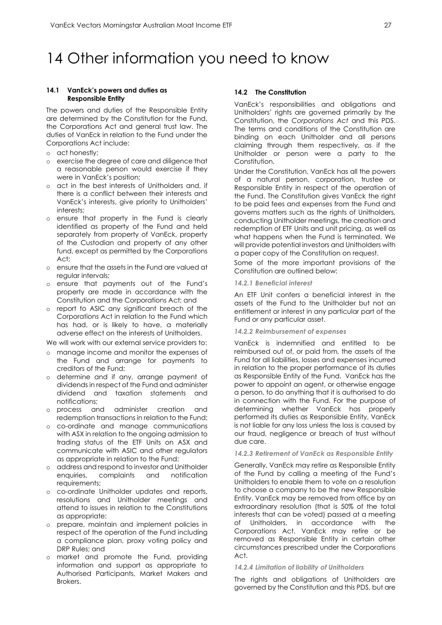# <span id="page-27-0"></span>14 Other information you need to know

#### **14.1 VanEck's powers and duties as Responsible Entity**

The powers and duties of the Responsible Entity are determined by the Constitution for the Fund, the Corporations Act and general trust law. The duties of VanEck in relation to the Fund under the Corporations Act include:

- o act honestly;
- o exercise the degree of care and diligence that a reasonable [person](http://www.austlii.edu.au/au/legis/cth/consol_act/ca2001172/s761a.html#person?stem=0&synonyms=0&query=601FC) would exercise if they were in VanEck's position;
- o act in the best interests of Unitholders and, if there is a conflict between their interests and VanEck's interests, give priority to Unitholders' interests;
- o ensure that property in the Fund is clearly identified as property of the Fund and held separately from property of VanEck, property of the Custodian and property of any other fund, except as permitted by the Corporations  $A<sup>ct</sup>$
- o ensure that the assets in the Fund are valued at regular intervals;
- o ensure that payments out of the Fund's property are made in accordance with the Constitution and the Corporations Act; and
- o report to ASIC any significant breach of the Corporations Act in relation to the Fund which has had, or is likely to have, a materially adverse effect on the interests of Unitholders.

We will work with our external service providers to:

- o manage income and monitor the expenses of the Fund and arrange for payments to creditors of the Fund;
- o determine and if any, arrange payment of dividends in respect of the Fund and administer dividend and taxation statements and notifications;
- o process and administer creation and redemption transactions in relation to the Fund;
- o co-ordinate and manage communications with ASX in relation to the ongoing admission to trading status of the ETF Units on ASX and communicate with ASIC and other regulators as appropriate in relation to the Fund;
- o address and respond to investor and Unitholder enquiries, complaints and notification requirements;
- o co-ordinate Unitholder updates and reports, resolutions and Unitholder meetings and attend to issues in relation to the Constitutions as appropriate;
- o prepare, maintain and implement policies in respect of the operation of the Fund including a compliance plan, proxy voting policy and DRP Rules; and
- o market and promote the Fund, providing information and support as appropriate to Authorised Participants, Market Makers and Brokers.

#### **14.2 The Constitution**

VanEck's responsibilities and obligations and Unitholders' rights are governed primarily by the Constitution, the *Corporations Act* and this PDS. The terms and conditions of the Constitution are binding on each Unitholder and all persons claiming through them respectively, as if the Unitholder or person were a party to the Constitution.

Under the Constitution, VanEck has all the powers of a natural person, corporation, trustee or Responsible Entity in respect of the operation of the Fund. The Constitution gives VanEck the right to be paid fees and expenses from the Fund and governs matters such as the rights of Unitholders, conducting Unitholder meetings, the creation and redemption of ETF Units and unit pricing, as well as what happens when the Fund is terminated. We will provide potential investors and Unitholders with a paper copy of the Constitution on request.

Some of the more important provisions of the Constitution are outlined below:

#### *14.2.1 Beneficial interest*

An ETF Unit confers a beneficial interest in the assets of the Fund to the Unitholder but not an entitlement or interest in any particular part of the Fund or any particular asset.

#### *14.2.2 Reimbursement of expenses*

VanEck is indemnified and entitled to be reimbursed out of, or paid from, the assets of the Fund for all liabilities, losses and expenses incurred in relation to the proper performance of its duties as Responsible Entity of the Fund. VanEck has the power to appoint an agent, or otherwise engage a person, to do anything that it is authorised to do in connection with the Fund. For the purpose of determining whether VanEck has properly performed its duties as Responsible Entity, VanEck is not liable for any loss unless the loss is caused by our fraud, negligence or breach of trust without due care.

#### *14.2.3 Retirement of VanEck as Responsible Entity*

Generally, VanEck may retire as Responsible Entity of the Fund by calling a meeting of the Fund's Unitholders to enable them to vote on a resolution to choose a company to be the new Responsible Entity. VanEck may be removed from office by an extraordinary resolution (that is 50% of the total interests that can be voted) passed at a meeting of Unitholders, in accordance with the Corporations Act. VanEck may retire or be removed as Responsible Entity in certain other circumstances prescribed under the Corporations Act.

#### *14.2.4 Limitation of liability of Unitholders*

The rights and obligations of Unitholders are governed by the Constitution and this PDS, but are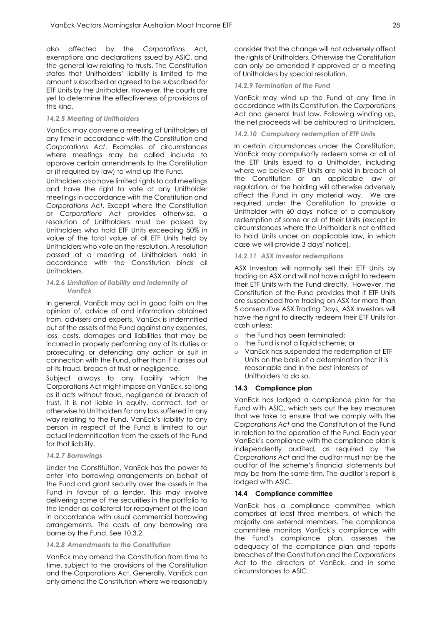also affected by the *Corporations Act*, exemptions and declarations issued by ASIC, and the general law relating to trusts. The Constitution states that Unitholders' liability is limited to the amount subscribed or agreed to be subscribed for ETF Units by the Unitholder. However, the courts are yet to determine the effectiveness of provisions of this kind.

#### *14.2.5 Meeting of Unitholders*

VanEck may convene a meeting of Unitholders at any time in accordance with the Constitution and *Corporations Act*. Examples of circumstances where meetings may be called include to approve certain amendments to the Constitution or (if required by law) to wind up the Fund.

Unitholders also have limited rights to call meetings and have the right to vote at any Unitholder meetings in accordance with the Constitution and *Corporations Act*. Except where the Constitution or *Corporations Act* provides otherwise, a resolution of Unitholders must be passed by Unitholders who hold ETF Units exceeding 50% in value of the total value of all ETF Units held by Unitholders who vote on the resolution. A resolution passed at a meeting of Unitholders held in accordance with the Constitution binds all Unitholders.

#### *14.2.6 Limitation of liability and indemnity of VanEck*

In general, VanEck may act in good faith on the opinion of, advice of and information obtained from, advisers and experts. VanEck is indemnified out of the assets of the Fund against any expenses, loss, costs, damages and liabilities that may be incurred in properly performing any of its duties or prosecuting or defending any action or suit in connection with the Fund, other than if it arises out of its fraud, breach of trust or negligence.

Subject always to any liability which the Corporations Act might impose on VanEck, so long as it acts without fraud, negligence or breach of trust, it is not liable in equity, contract, tort or otherwise to Unitholders for any loss suffered in any way relating to the Fund. VanEck's liability to any person in respect of the Fund is limited to our actual indemnification from the assets of the Fund for that liability.

#### *14.2.7 Borrowings*

Under the Constitution, VanEck has the power to enter into borrowing arrangements on behalf of the Fund and grant security over the assets in the Fund in favour of a lender. This may involve delivering some of the securities in the portfolio to the lender as collateral for repayment of the loan in accordance with usual commercial borrowing arrangements. The costs of any borrowing are borne by the Fund. See 10.3.2.

#### *14.2.8 Amendments to the Constitution*

VanEck may amend the Constitution from time to time, subject to the provisions of the Constitution and the Corporations Act. Generally, VanEck can only amend the Constitution where we reasonably

consider that the change will not adversely affect the rights of Unitholders. Otherwise the Constitution can only be amended if approved at a meeting of Unitholders by special resolution.

#### *14.2.9 Termination of the Fund*

VanEck may wind up the Fund at any time in accordance with its Constitution, the *Corporations Act* and general trust law. Following winding up, the net proceeds will be distributed to Unitholders.

#### *14.2.10 Compulsory redemption of ETF Units*

In certain circumstances under the Constitution, VanEck may compulsorily redeem some or all of the ETF Units issued to a Unitholder, including where we believe ETF Units are held in breach of the Constitution or an applicable law or regulation, or the holding will otherwise adversely affect the Fund in any material way. We are required under the Constitution to provide a Unitholder with 60 days' notice of a compulsory redemption of some or all of their Units (except in circumstances where the Unitholder is not entitled to hold Units under an applicable law, in which case we will provide 3 days' notice).

#### *14.2.11 ASX Investor redemptions*

ASX Investors will normally sell their ETF Units by trading on ASX and will not have a right to redeem their ETF Units with the Fund directly. However, the Constitution of the Fund provides that if ETF Units are suspended from trading on ASX for more than 5 consecutive ASX Trading Days, ASX Investors will have the right to directly redeem their ETF Units for cash unless:

- o the Fund has been terminated;
- o the Fund is not a liquid scheme; or
- o VanEck has suspended the redemption of ETF Units on the basis of a determination that it is reasonable and in the best interests of Unitholders to do so.

#### **14.3 Compliance plan**

VanEck has lodged a compliance plan for the Fund with ASIC, which sets out the key measures that we take to ensure that we comply with the *Corporations Act* and the Constitution of the Fund in relation to the operation of the Fund. Each year VanEck's compliance with the compliance plan is independently audited, as required by the *Corporations Act* and the auditor must not be the auditor of the scheme's financial statements but may be from the same firm. The auditor's report is lodged with ASIC.

#### **14.4 Compliance committee**

VanEck has a compliance committee which comprises at least three members, of which the majority are external members. The compliance committee monitors VanEck's compliance with the Fund's compliance plan, assesses the adequacy of the compliance plan and reports breaches of the Constitution and the *Corporations Act* to the directors of VanEck, and in some circumstances to ASIC.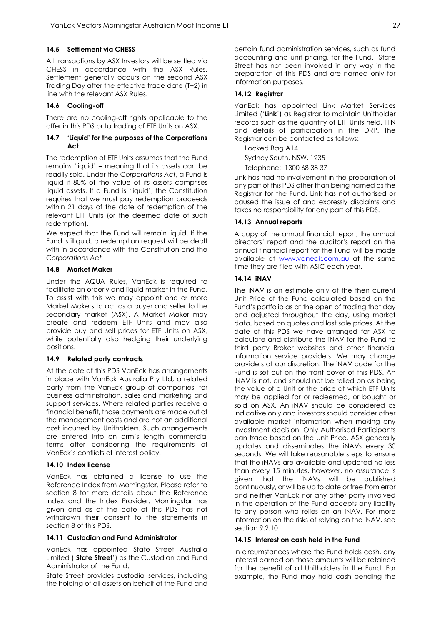#### **14.5 Settlement via CHESS**

All transactions by ASX Investors will be settled via CHESS in accordance with the ASX Rules. Settlement generally occurs on the second ASX Trading Day after the effective trade date (T+2) in line with the relevant ASX Rules.

#### **14.6 Cooling-off**

There are no cooling-off rights applicable to the offer in this PDS or to trading of ETF Units on ASX.

#### **14.7 'Liquid' for the purposes of the Corporations Act**

The redemption of ETF Units assumes that the Fund remains 'liquid' – meaning that its assets can be readily sold. Under the *Corporations Act*, a Fund is liquid if 80% of the value of its assets comprises liquid assets. If a Fund is 'liquid', the Constitution requires that we must pay redemption proceeds within 21 days of the date of redemption of the relevant ETF Units (or the deemed date of such redemption).

We expect that the Fund will remain liquid. If the Fund is illiquid, a redemption request will be dealt with in accordance with the Constitution and the *Corporations Act.*

#### **14.8 Market Maker**

Under the AQUA Rules, VanEck is required to facilitate an orderly and liquid market in the Fund. To assist with this we may appoint one or more Market Makers to act as a buyer and seller to the secondary market (ASX). A Market Maker may create and redeem ETF Units and may also provide buy and sell prices for ETF Units on ASX, while potentially also hedging their underlying positions.

#### **14.9 Related party contracts**

At the date of this PDS VanEck has arrangements in place with VanEck Australia Pty Ltd, a related party from the VanEck group of companies, for business administration, sales and marketing and support services. Where related parties receive a financial benefit, those payments are made out of the management costs and are not an additional cost incurred by Unitholders. Such arrangements are entered into on arm's length commercial terms after considering the requirements of VanEck's conflicts of interest policy.

#### **14.10 Index license**

VanEck has obtained a license to use the Reference Index from Morningstar. Please refer to section 8 for more details about the Reference Index and the Index Provider. Morningstar has given and as at the date of this PDS has not withdrawn their consent to the statements in section 8 of this PDS.

#### **14.11 Custodian and Fund Administrator**

VanEck has appointed State Street Australia Limited ('**State Street**') as the Custodian and Fund Administrator of the Fund.

State Street provides custodial services, including the holding of all assets on behalf of the Fund and

certain fund administration services, such as fund accounting and unit pricing, for the Fund. State Street has not been involved in any way in the preparation of this PDS and are named only for information purposes.

### **14.12 Registrar**

VanEck has appointed Link Market Services Limited ('**Link**') as Registrar to maintain Unitholder records such as the quantity of ETF Units held, TFN and details of participation in the DRP. The Registrar can be contacted as follows:

Locked Bag A14

Sydney South, NSW, 1235

Telephone: 1300 68 38 37

Link has had no involvement in the preparation of any part of this PDS other than being named as the Registrar for the Fund. Link has not authorised or caused the issue of and expressly disclaims and takes no responsibility for any part of this PDS.

#### **14.13 Annual reports**

A copy of the annual financial report, the annual directors' report and the auditor's report on the annual financial report for the Fund will be made available at [www.vaneck.com.au](http://www.vaneck.com.au/) at the same time they are filed with ASIC each year.

#### **14.14 iNAV**

The iNAV is an estimate only of the then current Unit Price of the Fund calculated based on the Fund's portfolio as at the open of trading that day and adjusted throughout the day, using market data, based on quotes and last sale prices. At the date of this PDS we have arranged for ASX to calculate and distribute the iNAV for the Fund to third party Broker websites and other financial information service providers. We may change providers at our discretion. The iNAV code for the Fund is set out on the front cover of this PDS. An iNAV is not, and should not be relied on as being the value of a Unit or the price at which ETF Units may be applied for or redeemed, or bought or sold on ASX. An iNAV should be considered as indicative only and investors should consider other available market information when making any investment decision. Only Authorised Participants can trade based on the Unit Price. ASX generally updates and disseminates the iNAVs every 30 seconds. We will take reasonable steps to ensure that the iNAVs are available and updated no less than every 15 minutes, however, no assurance is given that the iNAVs will be published continuously, or will be up to date or free from error and neither VanEck nor any other party involved in the operation of the Fund accepts any liability to any person who relies on an iNAV. For more information on the risks of relying on the iNAV, see section 9.2.10

#### **14.15 Interest on cash held in the Fund**

In circumstances where the Fund holds cash, any interest earned on those amounts will be retained for the benefit of all Unitholders in the Fund. For example, the Fund may hold cash pending the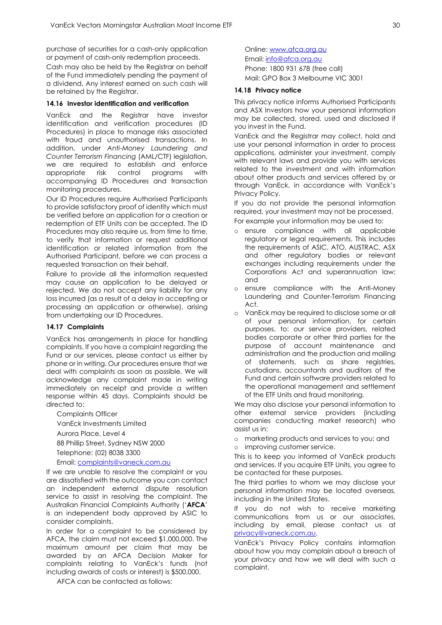purchase of securities for a cash-only application or payment of cash-only redemption proceeds.

Cash may also be held by the Registrar on behalf of the Fund immediately pending the payment of a dividend. Any interest earned on such cash will be retained by the Registrar.

#### **14.16 Investor identification and verification**

VanEck and the Registrar have investor identification and verification procedures (ID Procedures) in place to manage risks associated with fraud and unauthorised transactions. In addition, under *Anti-Money Laundering and Counter Terrorism Financing* (AML/CTF) legislation, we are required to establish and enforce appropriate risk control programs with accompanying ID Procedures and transaction monitoring procedures.

Our ID Procedures require Authorised Participants to provide satisfactory proof of identity which must be verified before an application for a creation or redemption of ETF Units can be accepted. The ID Procedures may also require us, from time to time, to verify that information or request additional identification or related information from the Authorised Participant, before we can process a requested transaction on their behalf.

Failure to provide all the information requested may cause an application to be delayed or rejected. We do not accept any liability for any loss incurred (as a result of a delay in accepting or processing an application or otherwise), arising from undertaking our ID Procedures.

#### **14.17 Complaints**

VanEck has arrangements in place for handling complaints. If you have a complaint regarding the Fund or our services, please contact us either by phone or in writing. Our procedures ensure that we deal with complaints as soon as possible. We will acknowledge any complaint made in writing immediately on receipt and provide a written response within 45 days. Complaints should be directed to:

Complaints Officer VanEck Investments Limited Aurora Place, Level 4 88 Phillip Street, Sydney NSW 2000 Telephone: (02) 8038 3300 Email[: complaints@vaneck.com.au](mailto:complaints@vaneck.com.au)

If we are unable to resolve the complaint or you are dissatisfied with the outcome you can contact an independent external dispute resolution service to assist in resolving the complaint. The Australian Financial Complaints Authority ('**AFCA**' is an independent body approved by ASIC to consider complaints.

In order for a complaint to be considered by AFCA, the claim must not exceed \$1,000,000. The maximum amount per claim that may be awarded by an AFCA Decision Maker for complaints relating to VanEck's funds (not including awards of costs or interest) is \$500,000.

AFCA can be contacted as follows:

Online: [www.afca.org.au](http://www.afca.org.au/)  Email: [info@afca.org.au](mailto:info@afca.org.au)  Phone: 1800 931 678 (free call) Mail: GPO Box 3 Melbourne VIC 3001

#### **14.18 Privacy notice**

This privacy notice informs Authorised Participants and ASX Investors how your personal information may be collected, stored, used and disclosed if you invest in the Fund.

VanEck and the Registrar may collect, hold and use your personal information in order to process applications, administer your investment, comply with relevant laws and provide you with services related to the investment and with information about other products and services offered by or through VanEck, in accordance with VanEck's Privacy Policy.

If you do not provide the personal information required, your investment may not be processed. For example your information may be used to:

- o ensure compliance with all applicable regulatory or legal requirements. This includes the requirements of ASIC, ATO, AUSTRAC, ASX and other regulatory bodies or relevant exchanges including requirements under the Corporations Act and superannuation law; and
- o ensure compliance with the Anti-Money Laundering and Counter-Terrorism Financing Act.
- o VanEck may be required to disclose some or all of your personal information, for certain purposes, to: our service providers, related bodies corporate or other third parties for the purpose of account maintenance and administration and the production and mailing of statements, such as share registries, custodians, accountants and auditors of the Fund and certain software providers related to the operational management and settlement of the ETF Units and fraud monitoring.

We may also disclose your personal information to other external service providers (including companies conducting market research) who assist us in:

o marketing products and services to you; and o improving customer service.

This is to keep you informed of VanEck products and services. If you acquire ETF Units, you agree to be contacted for these purposes.

The third parties to whom we may disclose your personal information may be located overseas, including in the United States.

If you do not wish to receive marketing communications from us or our associates, including by email, please contact us at [privacy@vaneck.com.au.](mailto:privacy@vaneck.com.au) 

VanEck's Privacy Policy contains information about how you may complain about a breach of your privacy and how we will deal with such a complaint.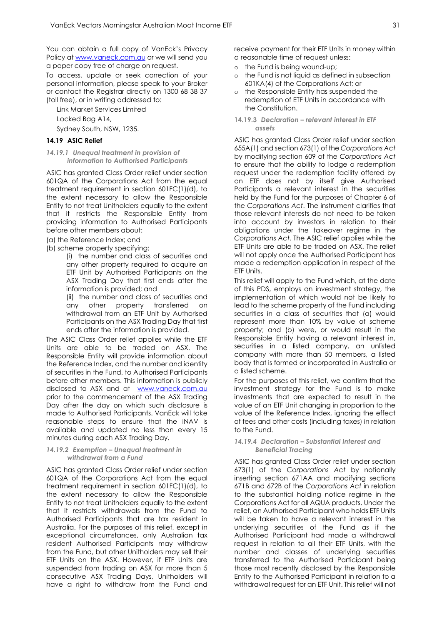You can obtain a full copy of VanEck's Privacy Policy a[t www.vaneck.com.au](http://www.vaneck.com.au/) or we will send you a paper copy free of charge on request.

To access, update or seek correction of your personal information, please speak to your Broker or contact the Registrar directly on 1300 68 38 37 (toll free), or in writing addressed to:

Link Market Services Limited Locked Bag A14, Sydney South, NSW, 1235.

#### **14.19 ASIC Relief**

#### *14.19.1 Unequal treatment in provision of information to Authorised Participants*

ASIC has granted Class Order relief under section 601QA of the Corporations Act from the equal treatment requirement in section 601FC(1)(d), to the extent necessary to allow the Responsible Entity to not treat Unitholders equally to the extent that it restricts the Responsible Entity from providing information to Authorised Participants before other members about:

(a) the Reference Index; and

(b) scheme property specifying:

(i) the number and class of securities and any other property required to acquire an ETF Unit by Authorised Participants on the ASX Trading Day that first ends after the information is provided; and

(ii) the number and class of securities and any other property transferred on withdrawal from an ETF Unit by Authorised Participants on the ASX Trading Day that first ends after the information is provided.

The ASIC Class Order relief applies while the ETF Units are able to be traded on ASX. The Responsible Entity will provide information about the Reference Index, and the number and identity of securities in the Fund, to Authorised Participants before other members. This information is publicly disclosed to ASX and at [www.vaneck.com.au](http://www.vaneck.com.au/) prior to the commencement of the ASX Trading Day after the day on which such disclosure is made to Authorised Participants. VanEck will take reasonable steps to ensure that the iNAV is available and updated no less than every 15 minutes during each ASX Trading Day.

#### *14.19.2 Exemption – Unequal treatment in withdrawal from a Fund*

ASIC has granted Class Order relief under section 601QA of the Corporations Act from the equal treatment requirement in section 601FC(1)(d), to the extent necessary to allow the Responsible Entity to not treat Unitholders equally to the extent that it restricts withdrawals from the Fund to Authorised Participants that are tax resident in Australia. For the purposes of this relief, except in exceptional circumstances, only Australian tax resident Authorised Participants may withdraw from the Fund, but other Unitholders may sell their ETF Units on the ASX. However, if ETF Units are suspended from trading on ASX for more than 5 consecutive ASX Trading Days, Unitholders will have a right to withdraw from the Fund and

receive payment for their ETF Units in money within a reasonable time of request unless:

- o the Fund is being wound-up;
- o the Fund is not liquid as defined in subsection 601KA(4) of the Corporations Act; or
- o the Responsible Entity has suspended the redemption of ETF Units in accordance with the Constitution.
- **14.19.3** *Declaration – relevant interest in ETF assets*

ASIC has granted Class Order relief under section 655A(1) and section 673(1) of the *Corporations Act* by modifying section 609 of the *Corporations Act* to ensure that the ability to lodge a redemption request under the redemption facility offered by an ETF does not by itself give Authorised Participants a relevant interest in the securities held by the Fund for the purposes of Chapter 6 of the *Corporations Act*. The instrument clarifies that those relevant interests do not need to be taken into account by investors in relation to their obligations under the takeover regime in the *Corporations Act*. The ASIC relief applies while the ETF Units are able to be traded on ASX. The relief will not apply once the Authorised Participant has made a redemption application in respect of the ETF Units.

This relief will apply to the Fund which, at the date of this PDS, employs an investment strategy, the implementation of which would not be likely to lead to the scheme property of the Fund including securities in a class of securities that (a) would represent more than 10% by value of scheme property; and (b) were, or would result in the Responsible Entity having a relevant interest in, securities in a listed company, an unlisted company with more than 50 members, a listed body that is formed or incorporated in Australia or a listed scheme.

For the purposes of this relief, we confirm that the investment strategy for the Fund is to make investments that are expected to result in the value of an ETF Unit changing in proportion to the value of the Reference Index, ignoring the effect of fees and other costs (including taxes) in relation to the Fund.

#### *14.19.4 Declaration – Substantial Interest and Beneficial Tracing*

ASIC has granted Class Order relief under section 673(1) of the *Corporations Act* by notionally inserting section 671AA and modifying sections 671B and 672B of the *Corporations Act* in relation to the substantial holding notice regime in the Corporations Act for all AQUA products. Under the relief, an Authorised Participant who holds ETF Units will be taken to have a relevant interest in the underlying securities of the Fund as if the Authorised Participant had made a withdrawal request in relation to all their ETF Units, with the number and classes of underlying securities transferred to the Authorised Participant being those most recently disclosed by the Responsible Entity to the Authorised Participant in relation to a withdrawal request for an ETF Unit. This relief will not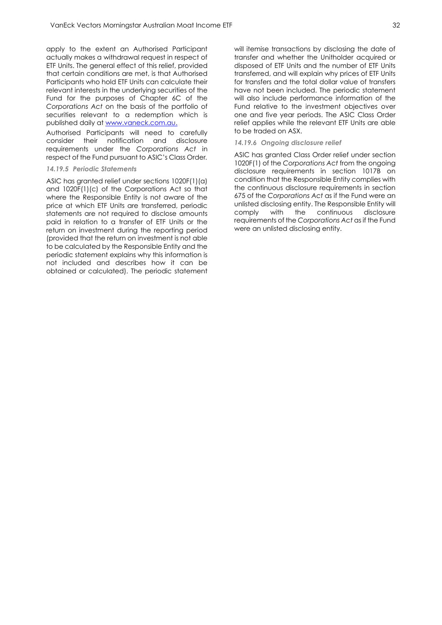apply to the extent an Authorised Participant actually makes a withdrawal request in respect of ETF Units. The general effect of this relief, provided that certain conditions are met, is that Authorised Participants who hold ETF Units can calculate their relevant interests in the underlying securities of the Fund for the purposes of Chapter 6C of the *Corporations Act* on the basis of the portfolio of securities relevant to a redemption which is published daily at [www.vaneck.com.au.](http://www.vaneck.com.au/)

Authorised Participants will need to carefully consider their notification and disclosure requirements under the *Corporations Act* in respect of the Fund pursuant to ASIC's Class Order*.*

#### *14.19.5 Periodic Statements*

ASIC has granted relief under sections 1020F(1)(a) and 1020F(1)(c) of the Corporations Act so that where the Responsible Entity is not aware of the price at which ETF Units are transferred, periodic statements are not required to disclose amounts paid in relation to a transfer of ETF Units or the return on investment during the reporting period (provided that the return on investment is not able to be calculated by the Responsible Entity and the periodic statement explains why this information is not included and describes how it can be obtained or calculated). The periodic statement

will itemise transactions by disclosing the date of transfer and whether the Unitholder acquired or disposed of ETF Units and the number of ETF Units transferred, and will explain why prices of ETF Units for transfers and the total dollar value of transfers have not been included. The periodic statement will also include performance information of the Fund relative to the investment objectives over one and five year periods. The ASIC Class Order relief applies while the relevant ETF Units are able to be traded on ASX.

#### *14.19.6 Ongoing disclosure relief*

ASIC has granted Class Order relief under section 1020F(1) of the *Corporations Act* from the ongoing disclosure requirements in section 1017B on condition that the Responsible Entity complies with the continuous disclosure requirements in section 675 of the *Corporations Act* as if the Fund were an unlisted disclosing entity. The Responsible Entity will comply with the continuous disclosure requirements of the *Corporations Act* as if the Fund were an unlisted disclosing entity.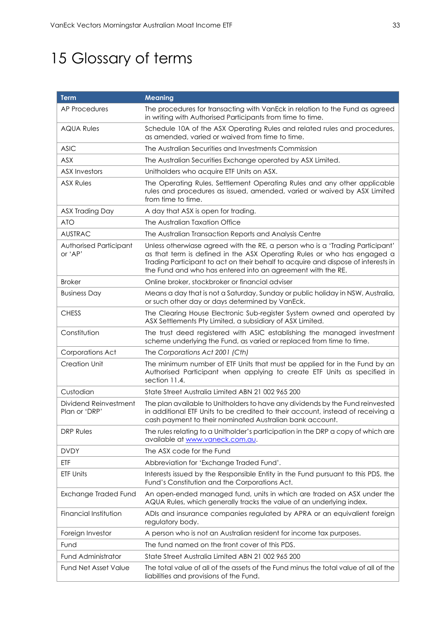# <span id="page-33-0"></span>15 Glossary of terms

| <b>Term</b>                            | <b>Meaning</b>                                                                                                                                                                                                                                                                                               |
|----------------------------------------|--------------------------------------------------------------------------------------------------------------------------------------------------------------------------------------------------------------------------------------------------------------------------------------------------------------|
| <b>AP Procedures</b>                   | The procedures for transacting with VanEck in relation to the Fund as agreed<br>in writing with Authorised Participants from time to time.                                                                                                                                                                   |
| <b>AQUA Rules</b>                      | Schedule 10A of the ASX Operating Rules and related rules and procedures,<br>as amended, varied or waived from time to time.                                                                                                                                                                                 |
| <b>ASIC</b>                            | The Australian Securities and Investments Commission                                                                                                                                                                                                                                                         |
| ASX                                    | The Australian Securities Exchange operated by ASX Limited.                                                                                                                                                                                                                                                  |
| <b>ASX Investors</b>                   | Unitholders who acquire ETF Units on ASX.                                                                                                                                                                                                                                                                    |
| <b>ASX Rules</b>                       | The Operating Rules, Settlement Operating Rules and any other applicable<br>rules and procedures as issued, amended, varied or waived by ASX Limited<br>from time to time.                                                                                                                                   |
| ASX Trading Day                        | A day that ASX is open for trading.                                                                                                                                                                                                                                                                          |
| <b>ATO</b>                             | The Australian Taxation Office                                                                                                                                                                                                                                                                               |
| <b>AUSTRAC</b>                         | The Australian Transaction Reports and Analysis Centre                                                                                                                                                                                                                                                       |
| Authorised Participant<br>or 'AP'      | Unless otherwiase agreed with the RE, a person who is a 'Trading Participant'<br>as that term is defined in the ASX Operating Rules or who has engaged a<br>Trading Participant to act on their behalf to acquire and dispose of interests in<br>the Fund and who has entered into an agreement with the RE. |
| <b>Broker</b>                          | Online broker, stockbroker or financial adviser                                                                                                                                                                                                                                                              |
| <b>Business Day</b>                    | Means a day that is not a Saturday, Sunday or public holiday in NSW, Australia,<br>or such other day or days determined by VanEck.                                                                                                                                                                           |
| <b>CHESS</b>                           | The Clearing House Electronic Sub-register System owned and operated by<br>ASX Settlements Pty Limited, a subsidiary of ASX Limited.                                                                                                                                                                         |
| Constitution                           | The trust deed registered with ASIC establishing the managed investment<br>scheme underlying the Fund, as varied or replaced from time to time.                                                                                                                                                              |
| Corporations Act                       | The Corporations Act 2001 (Cth)                                                                                                                                                                                                                                                                              |
| <b>Creation Unit</b>                   | The minimum number of ETF Units that must be applied for in the Fund by an<br>Authorised Participant when applying to create ETF Units as specified in<br>section 11.4.                                                                                                                                      |
| Custodian                              | State Street Australia Limited ABN 21 002 965 200                                                                                                                                                                                                                                                            |
| Dividend Reinvestment<br>Plan or 'DRP' | The plan available to Unitholders to have any dividends by the Fund reinvested<br>in additional ETF Units to be credited to their account, instead of receiving a<br>cash payment to their nominated Australian bank account.                                                                                |
| <b>DRP Rules</b>                       | The rules relating to a Unitholder's participation in the DRP a copy of which are<br>available at www.vaneck.com.au.                                                                                                                                                                                         |
| <b>DVDY</b>                            | The ASX code for the Fund                                                                                                                                                                                                                                                                                    |
| ETF                                    | Abbreviation for 'Exchange Traded Fund'.                                                                                                                                                                                                                                                                     |
| ETF Units                              | Interests issued by the Responsible Entity in the Fund pursuant to this PDS, the<br>Fund's Constitution and the Corporations Act.                                                                                                                                                                            |
| <b>Exchange Traded Fund</b>            | An open-ended managed fund, units in which are traded on ASX under the<br>AQUA Rules, which generally tracks the value of an underlying index.                                                                                                                                                               |
| Financial Institution                  | ADIs and insurance companies regulated by APRA or an equivalient foreign<br>regulatory body.                                                                                                                                                                                                                 |
| Foreign Investor                       | A person who is not an Australian resident for income tax purposes.                                                                                                                                                                                                                                          |
| Fund                                   | The fund named on the front cover of this PDS.                                                                                                                                                                                                                                                               |
| <b>Fund Administrator</b>              | State Street Australia Limited ABN 21 002 965 200                                                                                                                                                                                                                                                            |
| <b>Fund Net Asset Value</b>            | The total value of all of the assets of the Fund minus the total value of all of the<br>liabilities and provisions of the Fund.                                                                                                                                                                              |